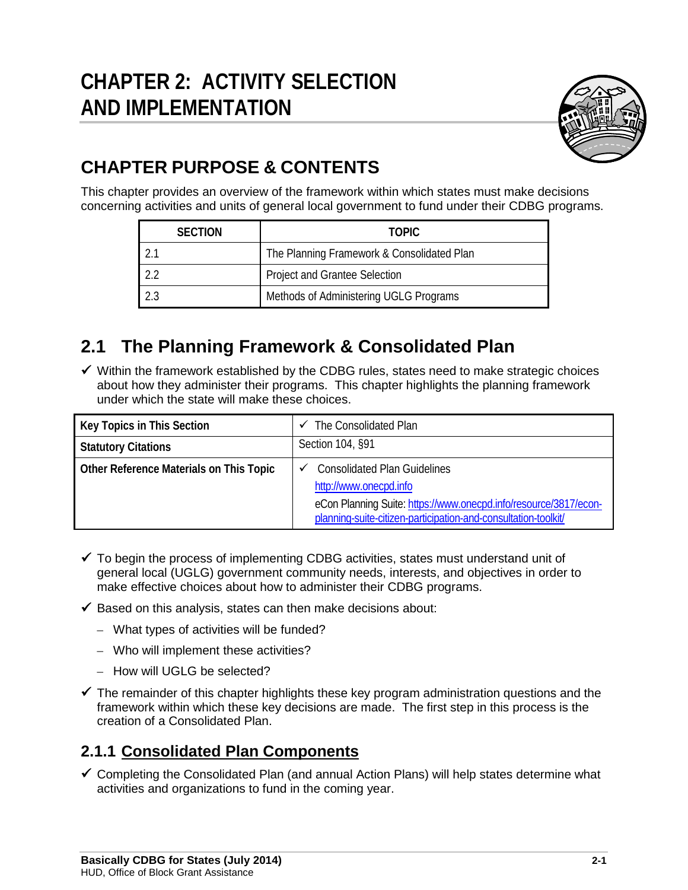

# **CHAPTER PURPOSE & CONTENTS**

This chapter provides an overview of the framework within which states must make decisions concerning activities and units of general local government to fund under their CDBG programs.

| <b>SECTION</b> | <b>TOPIC</b>                               |
|----------------|--------------------------------------------|
|                | The Planning Framework & Consolidated Plan |
|                | Project and Grantee Selection              |
|                | Methods of Administering UGLG Programs     |

# **2.1 The Planning Framework & Consolidated Plan**

 $\checkmark$  Within the framework established by the CDBG rules, states need to make strategic choices about how they administer their programs. This chapter highlights the planning framework under which the state will make these choices.

| Key Topics in This Section              | The Consolidated Plan<br>✓                                                                                                                                                                          |
|-----------------------------------------|-----------------------------------------------------------------------------------------------------------------------------------------------------------------------------------------------------|
| <b>Statutory Citations</b>              | Section 104, §91                                                                                                                                                                                    |
| Other Reference Materials on This Topic | <b>Consolidated Plan Guidelines</b><br>http://www.onecpd.info<br>eCon Planning Suite: https://www.onecpd.info/resource/3817/econ-<br>planning-suite-citizen-participation-and-consultation-toolkit/ |

- $\checkmark$  To begin the process of implementing CDBG activities, states must understand unit of general local (UGLG) government community needs, interests, and objectives in order to make effective choices about how to administer their CDBG programs.
- $\checkmark$  Based on this analysis, states can then make decisions about:
	- What types of activities will be funded?
	- Who will implement these activities?
	- How will UGLG be selected?
- $\checkmark$  The remainder of this chapter highlights these key program administration questions and the framework within which these key decisions are made. The first step in this process is the creation of a Consolidated Plan.

# **2.1.1 Consolidated Plan Components**

 $\checkmark$  Completing the Consolidated Plan (and annual Action Plans) will help states determine what activities and organizations to fund in the coming year.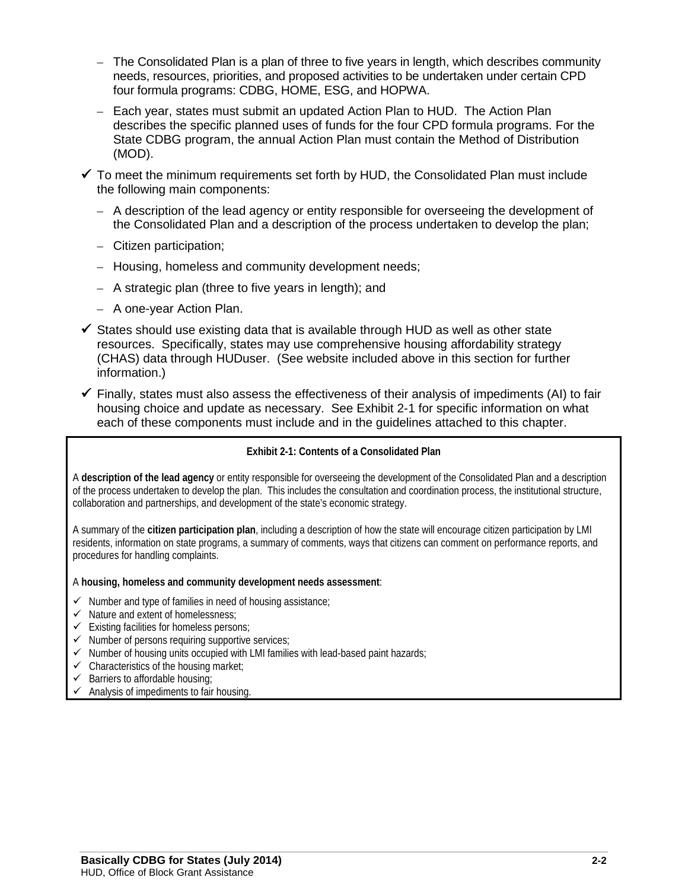- The Consolidated Plan is a plan of three to five years in length, which describes community needs, resources, priorities, and proposed activities to be undertaken under certain CPD four formula programs: CDBG, HOME, ESG, and HOPWA.
- Each year, states must submit an updated Action Plan to HUD. The Action Plan describes the specific planned uses of funds for the four CPD formula programs. For the State CDBG program, the annual Action Plan must contain the Method of Distribution (MOD).
- $\checkmark$  To meet the minimum requirements set forth by HUD, the Consolidated Plan must include the following main components:
	- A description of the lead agency or entity responsible for overseeing the development of the Consolidated Plan and a description of the process undertaken to develop the plan;
	- Citizen participation;
	- Housing, homeless and community development needs;
	- A strategic plan (three to five years in length); and
	- A one-year Action Plan.
- $\checkmark$  States should use existing data that is available through HUD as well as other state resources. Specifically, states may use comprehensive housing affordability strategy (CHAS) data through HUDuser. (See website included above in this section for further information.)
- $\checkmark$  Finally, states must also assess the effectiveness of their analysis of impediments (AI) to fair housing choice and update as necessary. See Exhibit 2-1 for specific information on what each of these components must include and in the guidelines attached to this chapter.

### **Exhibit 2-1: Contents of a Consolidated Plan**

A **description of the lead agency** or entity responsible for overseeing the development of the Consolidated Plan and a description of the process undertaken to develop the plan. This includes the consultation and coordination process, the institutional structure, collaboration and partnerships, and development of the state's economic strategy.

A summary of the **citizen participation plan**, including a description of how the state will encourage citizen participation by LMI residents, information on state programs, a summary of comments, ways that citizens can comment on performance reports, and procedures for handling complaints.

### A **housing, homeless and community development needs assessment**:

- $\checkmark$  Number and type of families in need of housing assistance;
- $\checkmark$  Nature and extent of homelessness:
- $\checkmark$  Existing facilities for homeless persons;
- $\checkmark$  Number of persons requiring supportive services;
- $\checkmark$  Number of housing units occupied with LMI families with lead-based paint hazards;
- $\checkmark$  Characteristics of the housing market;
- $\checkmark$  Barriers to affordable housing;
- $\checkmark$  Analysis of impediments to fair housing.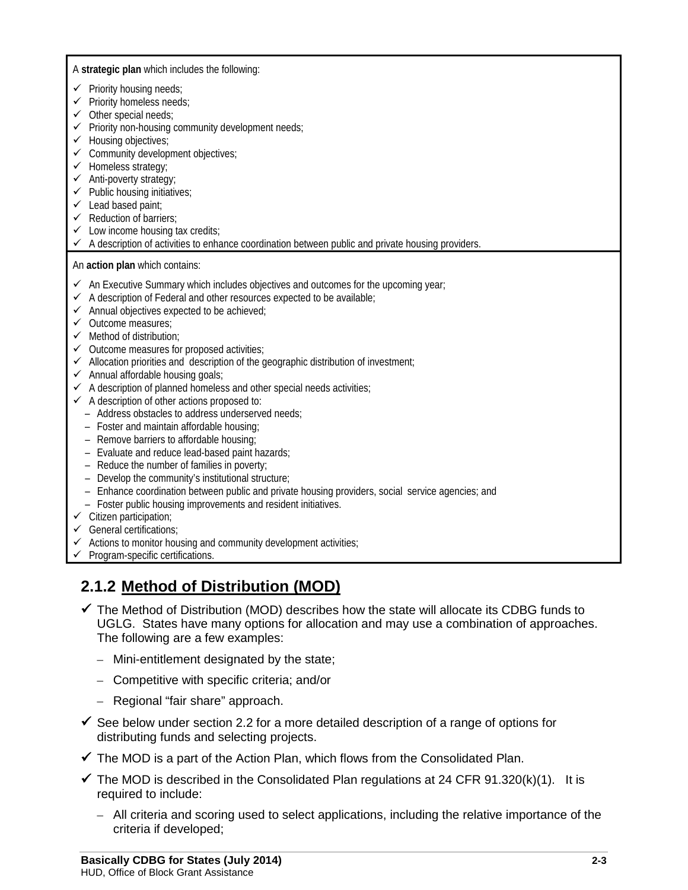A **strategic plan** which includes the following:

- $\checkmark$  Priority housing needs;
- $\checkmark$  Priority homeless needs;
- $\checkmark$  Other special needs;
- $\checkmark$  Priority non-housing community development needs;
- $\checkmark$  Housing objectives;
- $\checkmark$  Community development objectives;
- $\checkmark$  Homeless strategy;
- $\checkmark$  Anti-poverty strategy;
- $\checkmark$  Public housing initiatives;
- $\checkmark$  Lead based paint;
- $\checkmark$  Reduction of barriers:
- $\checkmark$  Low income housing tax credits;
- $\checkmark$  A description of activities to enhance coordination between public and private housing providers.

An **action plan** which contains:

- $\checkmark$  An Executive Summary which includes objectives and outcomes for the upcoming year;
- $\checkmark$  A description of Federal and other resources expected to be available;
- $\checkmark$  Annual objectives expected to be achieved;
- $\checkmark$  Outcome measures:
- $\checkmark$  Method of distribution:
- $\checkmark$  Outcome measures for proposed activities;
- $\checkmark$  Allocation priorities and description of the geographic distribution of investment;
- $\checkmark$  Annual affordable housing goals;
- $\checkmark$  A description of planned homeless and other special needs activities;
- $\checkmark$  A description of other actions proposed to:
	- Address obstacles to address underserved needs;
	- Foster and maintain affordable housing;
	- Remove barriers to affordable housing;
	- Evaluate and reduce lead-based paint hazards;
	- Reduce the number of families in poverty;
	- Develop the community's institutional structure;
	- Enhance coordination between public and private housing providers, social service agencies; and
	- Foster public housing improvements and resident initiatives.
- $\checkmark$  Citizen participation;
- $\checkmark$  General certifications;
- $\checkmark$  Actions to monitor housing and community development activities;
- $\checkmark$  Program-specific certifications.

# **2.1.2 Method of Distribution (MOD)**

- $\checkmark$  The Method of Distribution (MOD) describes how the state will allocate its CDBG funds to UGLG. States have many options for allocation and may use a combination of approaches. The following are a few examples:
	- Mini-entitlement designated by the state;
	- Competitive with specific criteria; and/or
	- Regional "fair share" approach.
- $\checkmark$  See below under section 2.2 for a more detailed description of a range of options for distributing funds and selecting projects.
- $\checkmark$  The MOD is a part of the Action Plan, which flows from the Consolidated Plan.
- $\checkmark$  The MOD is described in the Consolidated Plan regulations at 24 CFR 91.320(k)(1). It is required to include:
	- All criteria and scoring used to select applications, including the relative importance of the criteria if developed;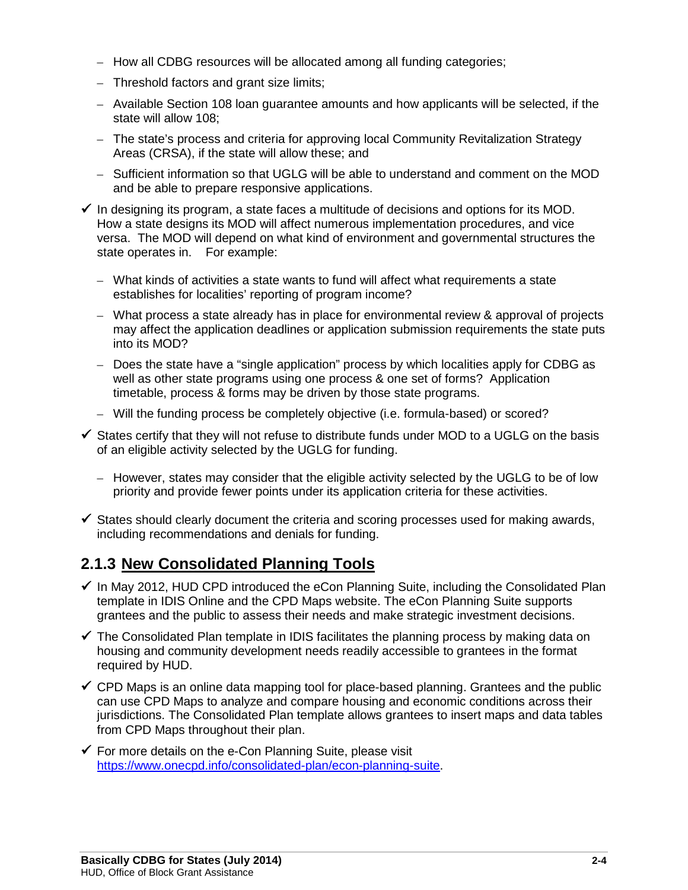- How all CDBG resources will be allocated among all funding categories;
- Threshold factors and grant size limits;
- Available Section 108 loan guarantee amounts and how applicants will be selected, if the state will allow 108;
- The state's process and criteria for approving local Community Revitalization Strategy Areas (CRSA), if the state will allow these; and
- Sufficient information so that UGLG will be able to understand and comment on the MOD and be able to prepare responsive applications.
- $\checkmark$  In designing its program, a state faces a multitude of decisions and options for its MOD. How a state designs its MOD will affect numerous implementation procedures, and vice versa. The MOD will depend on what kind of environment and governmental structures the state operates in. For example:
	- What kinds of activities a state wants to fund will affect what requirements a state establishes for localities' reporting of program income?
	- What process a state already has in place for environmental review & approval of projects may affect the application deadlines or application submission requirements the state puts into its MOD?
	- Does the state have a "single application" process by which localities apply for CDBG as well as other state programs using one process & one set of forms? Application timetable, process & forms may be driven by those state programs.
	- Will the funding process be completely objective (i.e. formula-based) or scored?
- $\checkmark$  States certify that they will not refuse to distribute funds under MOD to a UGLG on the basis of an eligible activity selected by the UGLG for funding.
	- However, states may consider that the eligible activity selected by the UGLG to be of low priority and provide fewer points under its application criteria for these activities.
- $\checkmark$  States should clearly document the criteria and scoring processes used for making awards, including recommendations and denials for funding.

# **2.1.3 New Consolidated Planning Tools**

- $\checkmark$  In May 2012, HUD CPD introduced the eCon Planning Suite, including the Consolidated Plan template in IDIS Online and the CPD Maps website. The eCon Planning Suite supports grantees and the public to assess their needs and make strategic investment decisions.
- $\checkmark$  [The Consolidated Plan template in IDIS](http://www.hud.gov/offices/cpd/about/conplan/cp_idis.cfm) facilitates the planning process by making data on housing and community development needs readily accessible to grantees in the format required by HUD.
- $\checkmark$  CPD Maps is an online data mapping tool for place-based planning. Grantees and the public can use CPD Maps to analyze and compare housing and economic conditions across their jurisdictions. The Consolidated Plan template allows grantees to insert maps and data tables from CPD Maps throughout their plan.
- $\checkmark$  For more details on the e-Con Planning Suite, please visit [https://www.onecpd.info/consolidated-plan/econ-planning-suite.](https://www.onecpd.info/consolidated-plan/econ-planning-suite)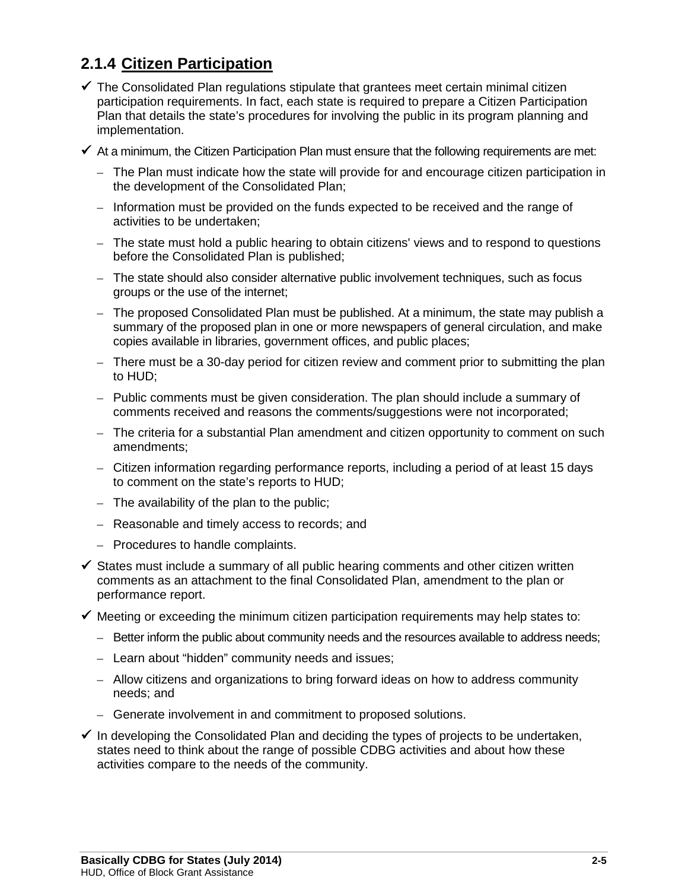# **2.1.4 Citizen Participation**

- $\checkmark$  The Consolidated Plan regulations stipulate that grantees meet certain minimal citizen participation requirements. In fact, each state is required to prepare a Citizen Participation Plan that details the state's procedures for involving the public in its program planning and implementation.
- $\checkmark$  At a minimum, the Citizen Participation Plan must ensure that the following requirements are met:
	- The Plan must indicate how the state will provide for and encourage citizen participation in the development of the Consolidated Plan;
	- Information must be provided on the funds expected to be received and the range of activities to be undertaken;
	- The state must hold a public hearing to obtain citizens' views and to respond to questions before the Consolidated Plan is published;
	- The state should also consider alternative public involvement techniques, such as focus groups or the use of the internet;
	- The proposed Consolidated Plan must be published. At a minimum, the state may publish a summary of the proposed plan in one or more newspapers of general circulation, and make copies available in libraries, government offices, and public places;
	- There must be a 30-day period for citizen review and comment prior to submitting the plan to HUD;
	- Public comments must be given consideration. The plan should include a summary of comments received and reasons the comments/suggestions were not incorporated;
	- The criteria for a substantial Plan amendment and citizen opportunity to comment on such amendments;
	- Citizen information regarding performance reports, including a period of at least 15 days to comment on the state's reports to HUD;
	- The availability of the plan to the public;
	- Reasonable and timely access to records; and
	- Procedures to handle complaints.
- $\checkmark$  States must include a summary of all public hearing comments and other citizen written comments as an attachment to the final Consolidated Plan, amendment to the plan or performance report.
- $\checkmark$  Meeting or exceeding the minimum citizen participation requirements may help states to:
	- Better inform the public about community needs and the resources available to address needs;
	- Learn about "hidden" community needs and issues;
	- Allow citizens and organizations to bring forward ideas on how to address community needs; and
	- Generate involvement in and commitment to proposed solutions.
- $\checkmark$  In developing the Consolidated Plan and deciding the types of projects to be undertaken, states need to think about the range of possible CDBG activities and about how these activities compare to the needs of the community.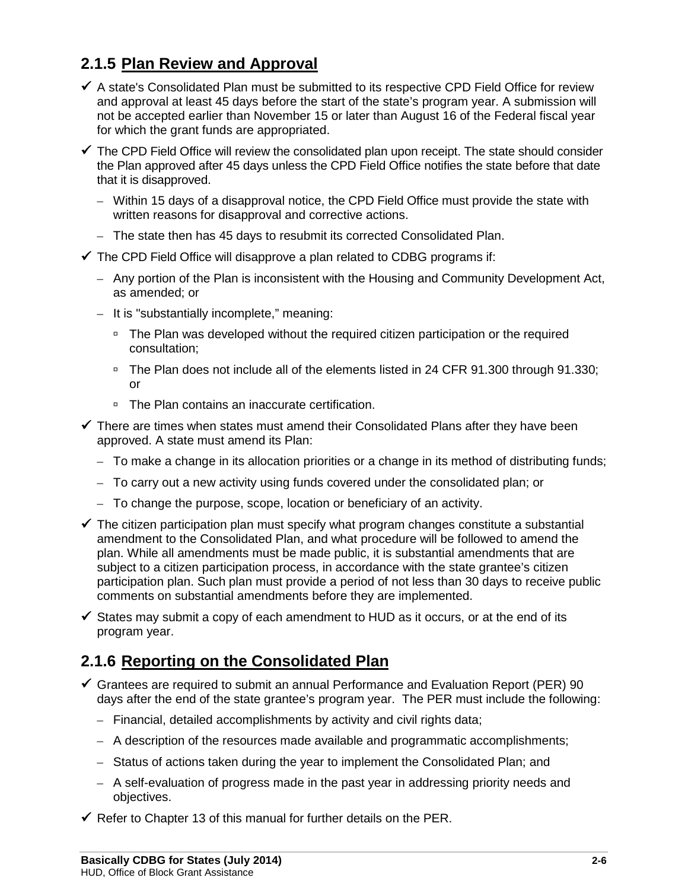# **2.1.5 Plan Review and Approval**

- $\checkmark$  A state's Consolidated Plan must be submitted to its respective CPD Field Office for review and approval at least 45 days before the start of the state's program year. A submission will not be accepted earlier than November 15 or later than August 16 of the Federal fiscal year for which the grant funds are appropriated.
- $\checkmark$  The CPD Field Office will review the consolidated plan upon receipt. The state should consider the Plan approved after 45 days unless the CPD Field Office notifies the state before that date that it is disapproved.
	- Within 15 days of a disapproval notice, the CPD Field Office must provide the state with written reasons for disapproval and corrective actions.
	- The state then has 45 days to resubmit its corrected Consolidated Plan.
- $\checkmark$  The CPD Field Office will disapprove a plan related to CDBG programs if:
	- Any portion of the Plan is inconsistent with the Housing and Community Development Act, as amended; or
	- It is "substantially incomplete," meaning:
		- □ The Plan was developed without the required citizen participation or the required consultation;
		- □ The Plan does not include all of the elements listed in 24 CFR 91.300 through 91.330; or
		- □ The Plan contains an inaccurate certification.
- $\checkmark$  There are times when states must amend their Consolidated Plans after they have been approved. A state must amend its Plan:
	- To make a change in its allocation priorities or a change in its method of distributing funds;
	- To carry out a new activity using funds covered under the consolidated plan; or
	- To change the purpose, scope, location or beneficiary of an activity.
- $\checkmark$  The citizen participation plan must specify what program changes constitute a substantial amendment to the Consolidated Plan, and what procedure will be followed to amend the plan. While all amendments must be made public, it is substantial amendments that are subject to a citizen participation process, in accordance with the state grantee's citizen participation plan. Such plan must provide a period of not less than 30 days to receive public comments on substantial amendments before they are implemented.
- $\checkmark$  States may submit a copy of each amendment to HUD as it occurs, or at the end of its program year.

## **2.1.6 Reporting on the Consolidated Plan**

- $\checkmark$  Grantees are required to submit an annual Performance and Evaluation Report (PER) 90 days after the end of the state grantee's program year. The PER must include the following:
	- Financial, detailed accomplishments by activity and civil rights data;
	- A description of the resources made available and programmatic accomplishments;
	- Status of actions taken during the year to implement the Consolidated Plan; and
	- A self-evaluation of progress made in the past year in addressing priority needs and objectives.
- $\checkmark$  Refer to Chapter 13 of this manual for further details on the PER.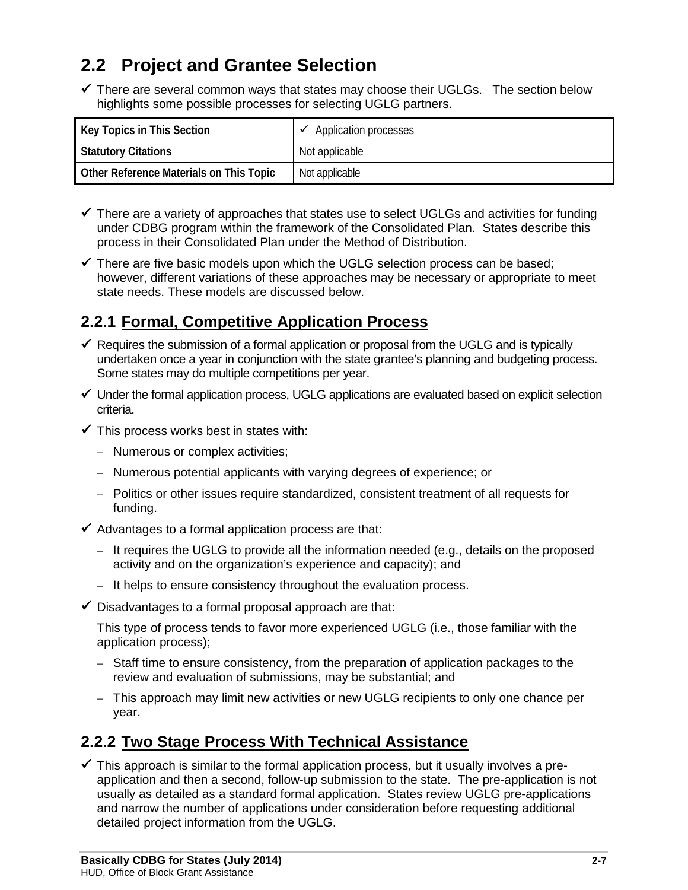# **2.2 Project and Grantee Selection**

 $\checkmark$  There are several common ways that states may choose their UGLGs. The section below highlights some possible processes for selecting UGLG partners.

| Key Topics in This Section              | Application processes |
|-----------------------------------------|-----------------------|
| <b>Statutory Citations</b>              | Not applicable        |
| Other Reference Materials on This Topic | Not applicable        |

- $\checkmark$  There are a variety of approaches that states use to select UGLGs and activities for funding under CDBG program within the framework of the Consolidated Plan. States describe this process in their Consolidated Plan under the Method of Distribution.
- $\checkmark$  There are five basic models upon which the UGLG selection process can be based; however, different variations of these approaches may be necessary or appropriate to meet state needs. These models are discussed below.

# **2.2.1 Formal, Competitive Application Process**

- $\checkmark$  Requires the submission of a formal application or proposal from the UGLG and is typically undertaken once a year in conjunction with the state grantee's planning and budgeting process. Some states may do multiple competitions per year.
- $\checkmark$  Under the formal application process, UGLG applications are evaluated based on explicit selection criteria.
- $\checkmark$  This process works best in states with:
	- Numerous or complex activities;
	- Numerous potential applicants with varying degrees of experience; or
	- Politics or other issues require standardized, consistent treatment of all requests for funding.
- $\checkmark$  Advantages to a formal application process are that:
	- It requires the UGLG to provide all the information needed (e.g., details on the proposed activity and on the organization's experience and capacity); and
	- It helps to ensure consistency throughout the evaluation process.
- $\checkmark$  Disadvantages to a formal proposal approach are that:

This type of process tends to favor more experienced UGLG (i.e., those familiar with the application process);

- Staff time to ensure consistency, from the preparation of application packages to the review and evaluation of submissions, may be substantial; and
- This approach may limit new activities or new UGLG recipients to only one chance per year.

# **2.2.2 Two Stage Process With Technical Assistance**

 $\checkmark$  This approach is similar to the formal application process, but it usually involves a preapplication and then a second, follow-up submission to the state. The pre-application is not usually as detailed as a standard formal application. States review UGLG pre-applications and narrow the number of applications under consideration before requesting additional detailed project information from the UGLG.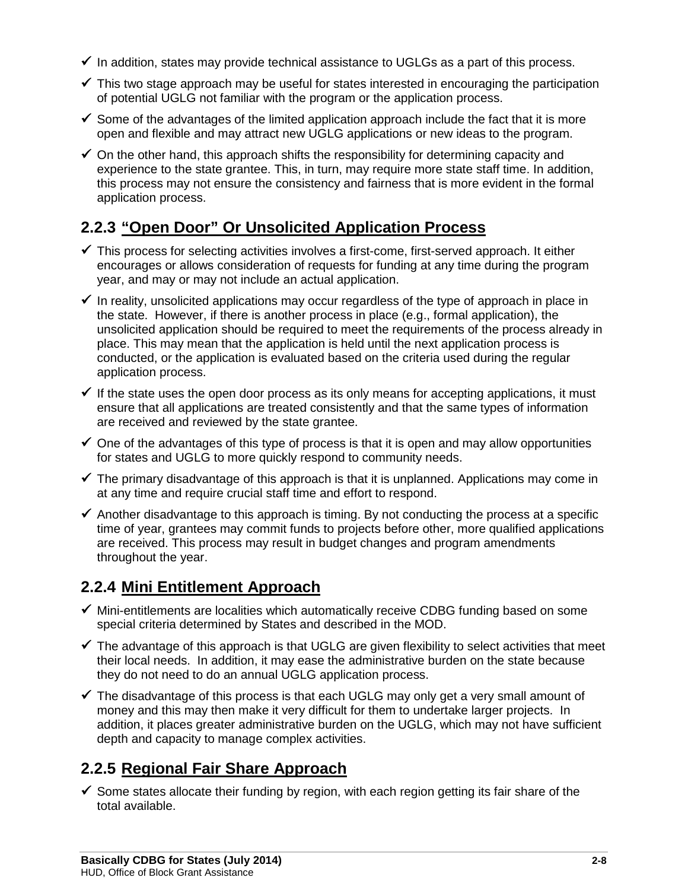- $\checkmark$  In addition, states may provide technical assistance to UGLGs as a part of this process.
- $\checkmark$  This two stage approach may be useful for states interested in encouraging the participation of potential UGLG not familiar with the program or the application process.
- $\checkmark$  Some of the advantages of the limited application approach include the fact that it is more open and flexible and may attract new UGLG applications or new ideas to the program.
- $\checkmark$  On the other hand, this approach shifts the responsibility for determining capacity and experience to the state grantee. This, in turn, may require more state staff time. In addition, this process may not ensure the consistency and fairness that is more evident in the formal application process.

# **2.2.3 "Open Door" Or Unsolicited Application Process**

- $\checkmark$  This process for selecting activities involves a first-come, first-served approach. It either encourages or allows consideration of requests for funding at any time during the program year, and may or may not include an actual application.
- $\checkmark$  In reality, unsolicited applications may occur regardless of the type of approach in place in the state. However, if there is another process in place (e.g., formal application), the unsolicited application should be required to meet the requirements of the process already in place. This may mean that the application is held until the next application process is conducted, or the application is evaluated based on the criteria used during the regular application process.
- $\checkmark$  If the state uses the open door process as its only means for accepting applications, it must ensure that all applications are treated consistently and that the same types of information are received and reviewed by the state grantee.
- $\checkmark$  One of the advantages of this type of process is that it is open and may allow opportunities for states and UGLG to more quickly respond to community needs.
- $\checkmark$  The primary disadvantage of this approach is that it is unplanned. Applications may come in at any time and require crucial staff time and effort to respond.
- $\checkmark$  Another disadvantage to this approach is timing. By not conducting the process at a specific time of year, grantees may commit funds to projects before other, more qualified applications are received. This process may result in budget changes and program amendments throughout the year.

# **2.2.4 Mini Entitlement Approach**

- $\checkmark$  Mini-entitlements are localities which automatically receive CDBG funding based on some special criteria determined by States and described in the MOD.
- $\checkmark$  The advantage of this approach is that UGLG are given flexibility to select activities that meet their local needs. In addition, it may ease the administrative burden on the state because they do not need to do an annual UGLG application process.
- $\checkmark$  The disadvantage of this process is that each UGLG may only get a very small amount of money and this may then make it very difficult for them to undertake larger projects. In addition, it places greater administrative burden on the UGLG, which may not have sufficient depth and capacity to manage complex activities.

# **2.2.5 Regional Fair Share Approach**

 $\checkmark$  Some states allocate their funding by region, with each region getting its fair share of the total available.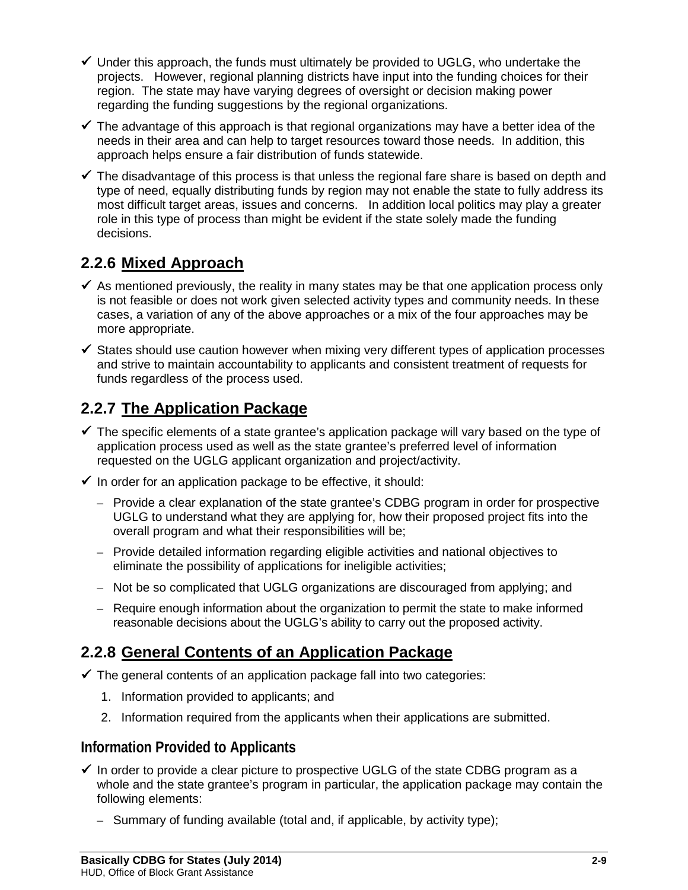- $\checkmark$  Under this approach, the funds must ultimately be provided to UGLG, who undertake the projects. However, regional planning districts have input into the funding choices for their region. The state may have varying degrees of oversight or decision making power regarding the funding suggestions by the regional organizations.
- $\checkmark$  The advantage of this approach is that regional organizations may have a better idea of the needs in their area and can help to target resources toward those needs. In addition, this approach helps ensure a fair distribution of funds statewide.
- $\checkmark$  The disadvantage of this process is that unless the regional fare share is based on depth and type of need, equally distributing funds by region may not enable the state to fully address its most difficult target areas, issues and concerns. In addition local politics may play a greater role in this type of process than might be evident if the state solely made the funding decisions.

# **2.2.6 Mixed Approach**

- $\checkmark$  As mentioned previously, the reality in many states may be that one application process only is not feasible or does not work given selected activity types and community needs. In these cases, a variation of any of the above approaches or a mix of the four approaches may be more appropriate.
- $\checkmark$  States should use caution however when mixing very different types of application processes and strive to maintain accountability to applicants and consistent treatment of requests for funds regardless of the process used.

# **2.2.7 The Application Package**

- $\checkmark$  The specific elements of a state grantee's application package will vary based on the type of application process used as well as the state grantee's preferred level of information requested on the UGLG applicant organization and project/activity.
- $\checkmark$  In order for an application package to be effective, it should:
	- Provide a clear explanation of the state grantee's CDBG program in order for prospective UGLG to understand what they are applying for, how their proposed project fits into the overall program and what their responsibilities will be;
	- Provide detailed information regarding eligible activities and national objectives to eliminate the possibility of applications for ineligible activities;
	- Not be so complicated that UGLG organizations are discouraged from applying; and
	- Require enough information about the organization to permit the state to make informed reasonable decisions about the UGLG's ability to carry out the proposed activity.

# **2.2.8 General Contents of an Application Package**

- $\checkmark$  The general contents of an application package fall into two categories:
	- 1. Information provided to applicants; and
	- 2. Information required from the applicants when their applications are submitted.

### **Information Provided to Applicants**

- $\checkmark$  In order to provide a clear picture to prospective UGLG of the state CDBG program as a whole and the state grantee's program in particular, the application package may contain the following elements:
	- Summary of funding available (total and, if applicable, by activity type);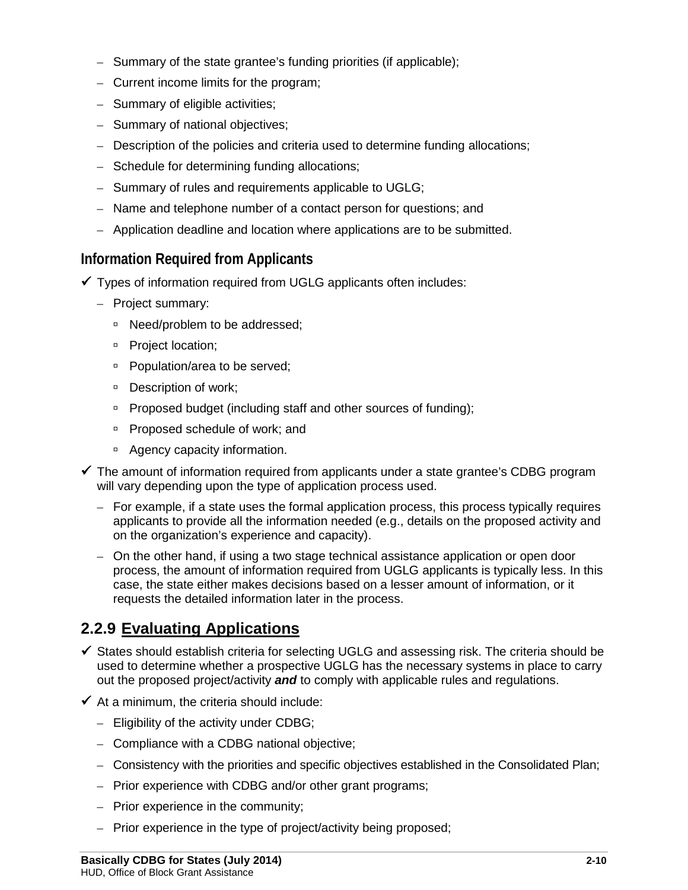- Summary of the state grantee's funding priorities (if applicable);
- Current income limits for the program;
- Summary of eligible activities;
- Summary of national objectives;
- Description of the policies and criteria used to determine funding allocations;
- Schedule for determining funding allocations;
- Summary of rules and requirements applicable to UGLG;
- Name and telephone number of a contact person for questions; and
- Application deadline and location where applications are to be submitted.

## **Information Required from Applicants**

- $\checkmark$  Types of information required from UGLG applicants often includes:
	- Project summary:
		- □ Need/problem to be addressed;
		- **Project location;**
		- □ Population/area to be served;
		- □ Description of work;
		- □ Proposed budget (including staff and other sources of funding);
		- □ Proposed schedule of work; and
		- □ Agency capacity information.
- $\checkmark$  The amount of information required from applicants under a state grantee's CDBG program will vary depending upon the type of application process used.
	- For example, if a state uses the formal application process, this process typically requires applicants to provide all the information needed (e.g., details on the proposed activity and on the organization's experience and capacity).
	- On the other hand, if using a two stage technical assistance application or open door process, the amount of information required from UGLG applicants is typically less. In this case, the state either makes decisions based on a lesser amount of information, or it requests the detailed information later in the process.

# **2.2.9 Evaluating Applications**

- $\checkmark$  States should establish criteria for selecting UGLG and assessing risk. The criteria should be used to determine whether a prospective UGLG has the necessary systems in place to carry out the proposed project/activity *and* to comply with applicable rules and regulations.
- $\checkmark$  At a minimum, the criteria should include:
	- Eligibility of the activity under CDBG;
	- Compliance with a CDBG national objective;
	- Consistency with the priorities and specific objectives established in the Consolidated Plan;
	- Prior experience with CDBG and/or other grant programs;
	- Prior experience in the community;
	- Prior experience in the type of project/activity being proposed;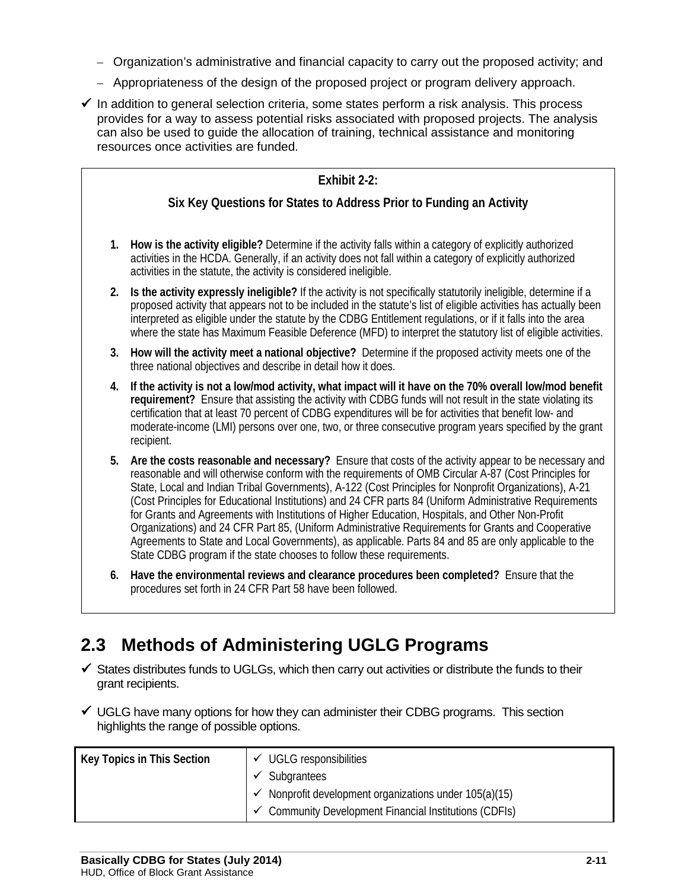- Organization's administrative and financial capacity to carry out the proposed activity; and
- Appropriateness of the design of the proposed project or program delivery approach.
- $\checkmark$  In addition to general selection criteria, some states perform a risk analysis. This process provides for a way to assess potential risks associated with proposed projects. The analysis can also be used to guide the allocation of training, technical assistance and monitoring resources once activities are funded.

| Exhibit 2-2: |                                                                                                                                                                                                                                                                                                                                                                                                                                                                           |  |  |  |  |  |  |  |
|--------------|---------------------------------------------------------------------------------------------------------------------------------------------------------------------------------------------------------------------------------------------------------------------------------------------------------------------------------------------------------------------------------------------------------------------------------------------------------------------------|--|--|--|--|--|--|--|
|              | Six Key Questions for States to Address Prior to Funding an Activity                                                                                                                                                                                                                                                                                                                                                                                                      |  |  |  |  |  |  |  |
|              |                                                                                                                                                                                                                                                                                                                                                                                                                                                                           |  |  |  |  |  |  |  |
|              | How is the activity eligible? Determine if the activity falls within a category of explicitly authorized<br>1.<br>activities in the HCDA. Generally, if an activity does not fall within a category of explicitly authorized<br>activities in the statute, the activity is considered ineligible.                                                                                                                                                                         |  |  |  |  |  |  |  |
|              | Is the activity expressly ineligible? If the activity is not specifically statutorily ineligible, determine if a<br>2.<br>proposed activity that appears not to be included in the statute's list of eligible activities has actually been<br>interpreted as eligible under the statute by the CDBG Entitlement regulations, or if it falls into the area<br>where the state has Maximum Feasible Deference (MFD) to interpret the statutory list of eligible activities. |  |  |  |  |  |  |  |
|              | How will the activity meet a national objective? Determine if the proposed activity meets one of the<br>3.<br>three national objectives and describe in detail how it does.                                                                                                                                                                                                                                                                                               |  |  |  |  |  |  |  |
| 4.           | If the activity is not a low/mod activity, what impact will it have on the 70% overall low/mod benefit<br>requirement? Ensure that assisting the activity with CDBG funds will not result in the state violating its<br>certification that at least 70 percent of CDBG expenditures will be for activities that benefit low- and<br>moderate-income (LMI) persons over one, two, or three consecutive program years specified by the grant<br>recipient.                  |  |  |  |  |  |  |  |
|              | Are the costs reasonable and necessary? Ensure that costs of the activity appear to be necessary and<br>5.                                                                                                                                                                                                                                                                                                                                                                |  |  |  |  |  |  |  |

- **5. Are the costs reasonable and necessary?** Ensure that costs of the activity appear to be necessary and reasonable and will otherwise conform with the requirements of OMB Circular A-87 (Cost Principles for State, Local and Indian Tribal Governments), A-122 (Cost Principles for Nonprofit Organizations), A-21 (Cost Principles for Educational Institutions) and 24 CFR parts 84 (Uniform Administrative Requirements for Grants and Agreements with Institutions of Higher Education, Hospitals, and Other Non-Profit Organizations) and 24 CFR Part 85, (Uniform Administrative Requirements for Grants and Cooperative Agreements to State and Local Governments), as applicable. Parts 84 and 85 are only applicable to the State CDBG program if the state chooses to follow these requirements.
- **6. Have the environmental reviews and clearance procedures been completed?** Ensure that the procedures set forth in 24 CFR Part 58 have been followed.

# **2.3 Methods of Administering UGLG Programs**

- $\checkmark$  States distributes funds to UGLGs, which then carry out activities or distribute the funds to their grant recipients.
- $\checkmark$  UGLG have many options for how they can administer their CDBG programs. This section highlights the range of possible options.

| Key Topics in This Section | $\checkmark$ UGLG responsibilities                                |
|----------------------------|-------------------------------------------------------------------|
|                            | $\checkmark$ Subgrantees                                          |
|                            | Nonprofit development organizations under 105(a)(15)              |
|                            | $\checkmark$ Community Development Financial Institutions (CDFIs) |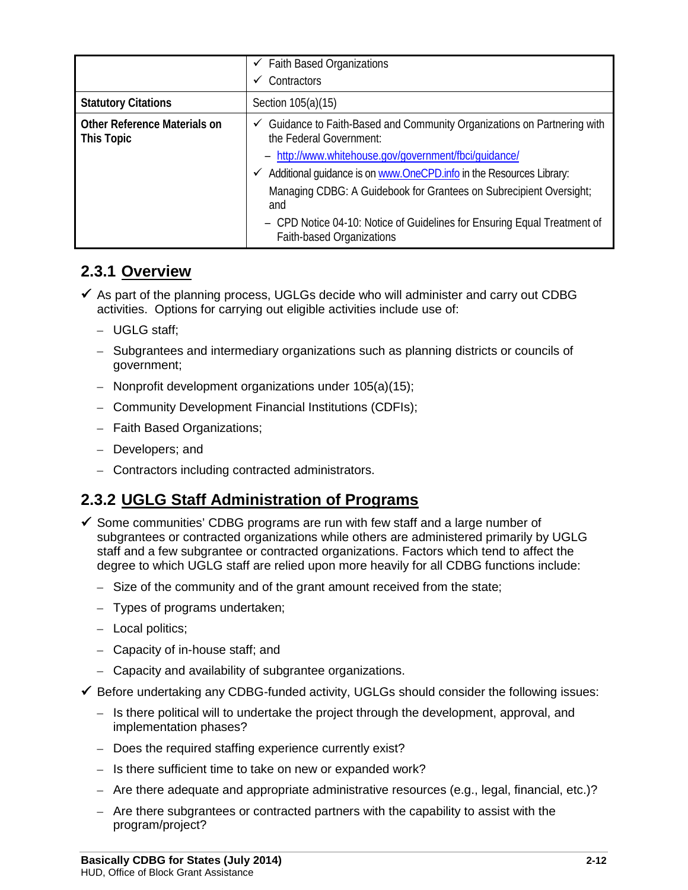|                                            | $\checkmark$ Faith Based Organizations<br>Contractors                                                             |
|--------------------------------------------|-------------------------------------------------------------------------------------------------------------------|
| <b>Statutory Citations</b>                 | Section 105(a)(15)                                                                                                |
| Other Reference Materials on<br>This Topic | Guidance to Faith-Based and Community Organizations on Partnering with<br>$\checkmark$<br>the Federal Government: |
|                                            | - http://www.whitehouse.gov/government/fbci/guidance/                                                             |
|                                            | Additional guidance is on www.OneCPD.info in the Resources Library:                                               |
|                                            | Managing CDBG: A Guidebook for Grantees on Subrecipient Oversight;<br>and                                         |
|                                            | - CPD Notice 04-10: Notice of Guidelines for Ensuring Equal Treatment of<br><b>Faith-based Organizations</b>      |

## **2.3.1 Overview**

- $\checkmark$  As part of the planning process, UGLGs decide who will administer and carry out CDBG activities. Options for carrying out eligible activities include use of:
	- UGLG staff;
	- Subgrantees and intermediary organizations such as planning districts or councils of government;
	- Nonprofit development organizations under 105(a)(15);
	- Community Development Financial Institutions (CDFIs);
	- Faith Based Organizations;
	- Developers; and
	- Contractors including contracted administrators.

# **2.3.2 UGLG Staff Administration of Programs**

- $\checkmark$  Some communities' CDBG programs are run with few staff and a large number of subgrantees or contracted organizations while others are administered primarily by UGLG staff and a few subgrantee or contracted organizations. Factors which tend to affect the degree to which UGLG staff are relied upon more heavily for all CDBG functions include:
	- Size of the community and of the grant amount received from the state;
	- Types of programs undertaken;
	- Local politics;
	- Capacity of in-house staff; and
	- Capacity and availability of subgrantee organizations.
- $\checkmark$  Before undertaking any CDBG-funded activity, UGLGs should consider the following issues:
	- Is there political will to undertake the project through the development, approval, and implementation phases?
	- Does the required staffing experience currently exist?
	- Is there sufficient time to take on new or expanded work?
	- Are there adequate and appropriate administrative resources (e.g., legal, financial, etc.)?
	- Are there subgrantees or contracted partners with the capability to assist with the program/project?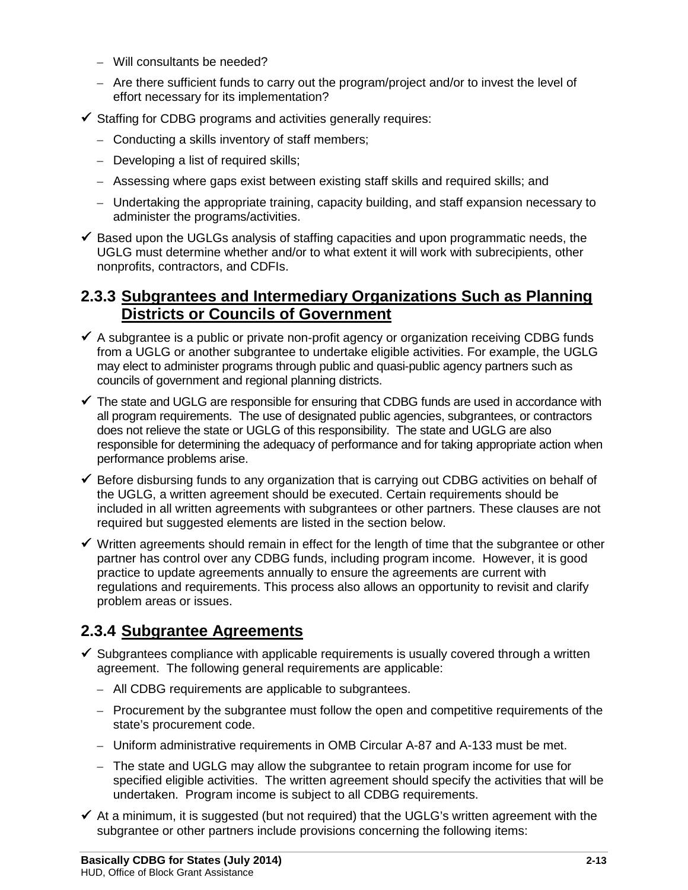- Will consultants be needed?
- Are there sufficient funds to carry out the program/project and/or to invest the level of effort necessary for its implementation?
- $\checkmark$  Staffing for CDBG programs and activities generally requires:
	- Conducting a skills inventory of staff members;
	- Developing a list of required skills;
	- Assessing where gaps exist between existing staff skills and required skills; and
	- Undertaking the appropriate training, capacity building, and staff expansion necessary to administer the programs/activities.
- $\checkmark$  Based upon the UGLGs analysis of staffing capacities and upon programmatic needs, the UGLG must determine whether and/or to what extent it will work with subrecipients, other nonprofits, contractors, and CDFIs.

## **2.3.3 Subgrantees and Intermediary Organizations Such as Planning Districts or Councils of Government**

- $\checkmark$  A subgrantee is a public or private non-profit agency or organization receiving CDBG funds from a UGLG or another subgrantee to undertake eligible activities. For example, the UGLG may elect to administer programs through public and quasi-public agency partners such as councils of government and regional planning districts.
- $\checkmark$  The state and UGLG are responsible for ensuring that CDBG funds are used in accordance with all program requirements. The use of designated public agencies, subgrantees, or contractors does not relieve the state or UGLG of this responsibility. The state and UGLG are also responsible for determining the adequacy of performance and for taking appropriate action when performance problems arise.
- $\checkmark$  Before disbursing funds to any organization that is carrying out CDBG activities on behalf of the UGLG, a written agreement should be executed. Certain requirements should be included in all written agreements with subgrantees or other partners. These clauses are not required but suggested elements are listed in the section below.
- $\checkmark$  Written agreements should remain in effect for the length of time that the subgrantee or other partner has control over any CDBG funds, including program income. However, it is good practice to update agreements annually to ensure the agreements are current with regulations and requirements. This process also allows an opportunity to revisit and clarify problem areas or issues.

# **2.3.4 Subgrantee Agreements**

- $\checkmark$  Subgrantees compliance with applicable requirements is usually covered through a written agreement. The following general requirements are applicable:
	- All CDBG requirements are applicable to subgrantees.
	- Procurement by the subgrantee must follow the open and competitive requirements of the state's procurement code.
	- Uniform administrative requirements in OMB Circular A-87 and A-133 must be met.
	- The state and UGLG may allow the subgrantee to retain program income for use for specified eligible activities. The written agreement should specify the activities that will be undertaken. Program income is subject to all CDBG requirements.
- $\checkmark$  At a minimum, it is suggested (but not required) that the UGLG's written agreement with the subgrantee or other partners include provisions concerning the following items: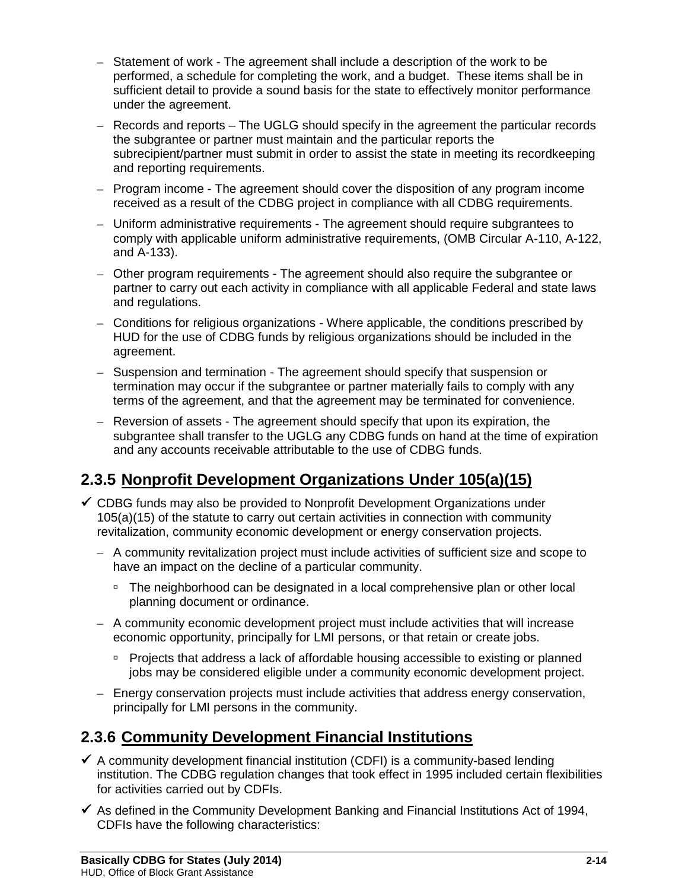- Statement of work The agreement shall include a description of the work to be performed, a schedule for completing the work, and a budget. These items shall be in sufficient detail to provide a sound basis for the state to effectively monitor performance under the agreement.
- Records and reports The UGLG should specify in the agreement the particular records the subgrantee or partner must maintain and the particular reports the subrecipient/partner must submit in order to assist the state in meeting its recordkeeping and reporting requirements.
- Program income The agreement should cover the disposition of any program income received as a result of the CDBG project in compliance with all CDBG requirements.
- Uniform administrative requirements The agreement should require subgrantees to comply with applicable uniform administrative requirements, (OMB Circular A-110, A-122, and A-133).
- Other program requirements The agreement should also require the subgrantee or partner to carry out each activity in compliance with all applicable Federal and state laws and regulations.
- Conditions for religious organizations Where applicable, the conditions prescribed by HUD for the use of CDBG funds by religious organizations should be included in the agreement.
- Suspension and termination The agreement should specify that suspension or termination may occur if the subgrantee or partner materially fails to comply with any terms of the agreement, and that the agreement may be terminated for convenience.
- Reversion of assets The agreement should specify that upon its expiration, the subgrantee shall transfer to the UGLG any CDBG funds on hand at the time of expiration and any accounts receivable attributable to the use of CDBG funds.

# **2.3.5 Nonprofit Development Organizations Under 105(a)(15)**

- $\checkmark$  CDBG funds may also be provided to Nonprofit Development Organizations under 105(a)(15) of the statute to carry out certain activities in connection with community revitalization, community economic development or energy conservation projects.
	- A community revitalization project must include activities of sufficient size and scope to have an impact on the decline of a particular community.
		- □ The neighborhood can be designated in a local comprehensive plan or other local planning document or ordinance.
	- A community economic development project must include activities that will increase economic opportunity, principally for LMI persons, or that retain or create jobs.
		- **Projects that address a lack of affordable housing accessible to existing or planned** jobs may be considered eligible under a community economic development project.
	- Energy conservation projects must include activities that address energy conservation, principally for LMI persons in the community.

# **2.3.6 Community Development Financial Institutions**

- $\checkmark$  A community development financial institution (CDFI) is a community-based lending institution. The CDBG regulation changes that took effect in 1995 included certain flexibilities for activities carried out by CDFIs.
- $\checkmark$  As defined in the Community Development Banking and Financial Institutions Act of 1994, CDFIs have the following characteristics: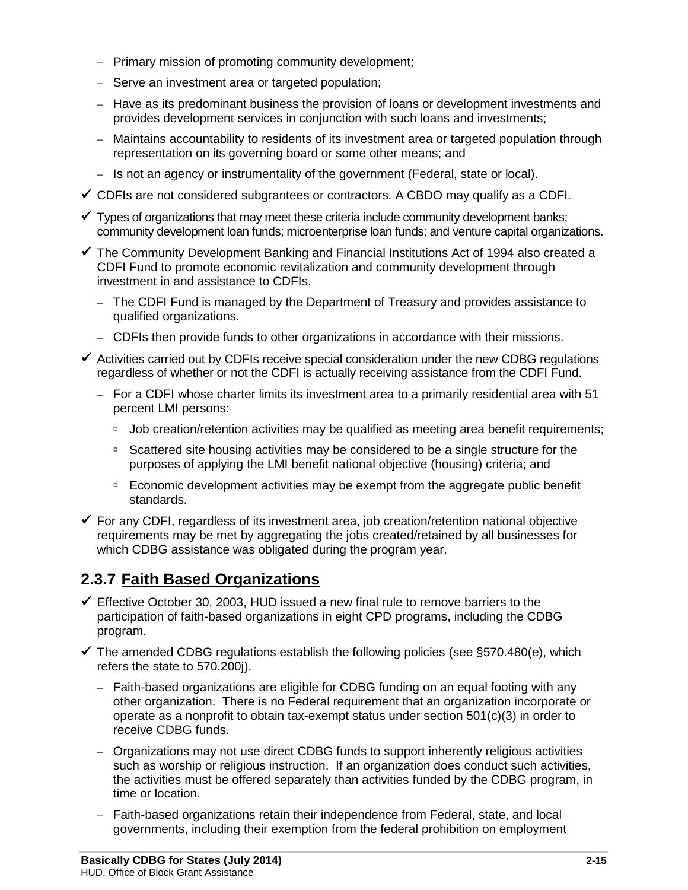- Primary mission of promoting community development;
- Serve an investment area or targeted population;
- Have as its predominant business the provision of loans or development investments and provides development services in conjunction with such loans and investments;
- Maintains accountability to residents of its investment area or targeted population through representation on its governing board or some other means; and
- Is not an agency or instrumentality of the government (Federal, state or local).
- $\checkmark$  CDFIs are not considered subgrantees or contractors. A CBDO may qualify as a CDFI.
- $\checkmark$  Types of organizations that may meet these criteria include community development banks; community development loan funds; microenterprise loan funds; and venture capital organizations.
- $\checkmark$  The Community Development Banking and Financial Institutions Act of 1994 also created a CDFI Fund to promote economic revitalization and community development through investment in and assistance to CDFIs.
	- The CDFI Fund is managed by the Department of Treasury and provides assistance to qualified organizations.
	- CDFIs then provide funds to other organizations in accordance with their missions.
- $\checkmark$  Activities carried out by CDFIs receive special consideration under the new CDBG regulations regardless of whether or not the CDFI is actually receiving assistance from the CDFI Fund.
	- For a CDFI whose charter limits its investment area to a primarily residential area with 51 percent LMI persons:
		- □ Job creation/retention activities may be qualified as meeting area benefit requirements;
		- □ Scattered site housing activities may be considered to be a single structure for the purposes of applying the LMI benefit national objective (housing) criteria; and
		- Economic development activities may be exempt from the aggregate public benefit standards.
- $\checkmark$  For any CDFI, regardless of its investment area, job creation/retention national objective requirements may be met by aggregating the jobs created/retained by all businesses for which CDBG assistance was obligated during the program year.

# **2.3.7 Faith Based Organizations**

- $\checkmark$  Effective October 30, 2003, HUD issued a new final rule to remove barriers to the participation of faith-based organizations in eight CPD programs, including the CDBG program.
- $\checkmark$  The amended CDBG regulations establish the following policies (see §570.480(e), which refers the state to 570.200j).
	- Faith-based organizations are eligible for CDBG funding on an equal footing with any other organization. There is no Federal requirement that an organization incorporate or operate as a nonprofit to obtain tax-exempt status under section 501(c)(3) in order to receive CDBG funds.
	- Organizations may not use direct CDBG funds to support inherently religious activities such as worship or religious instruction. If an organization does conduct such activities, the activities must be offered separately than activities funded by the CDBG program, in time or location.
	- Faith-based organizations retain their independence from Federal, state, and local governments, including their exemption from the federal prohibition on employment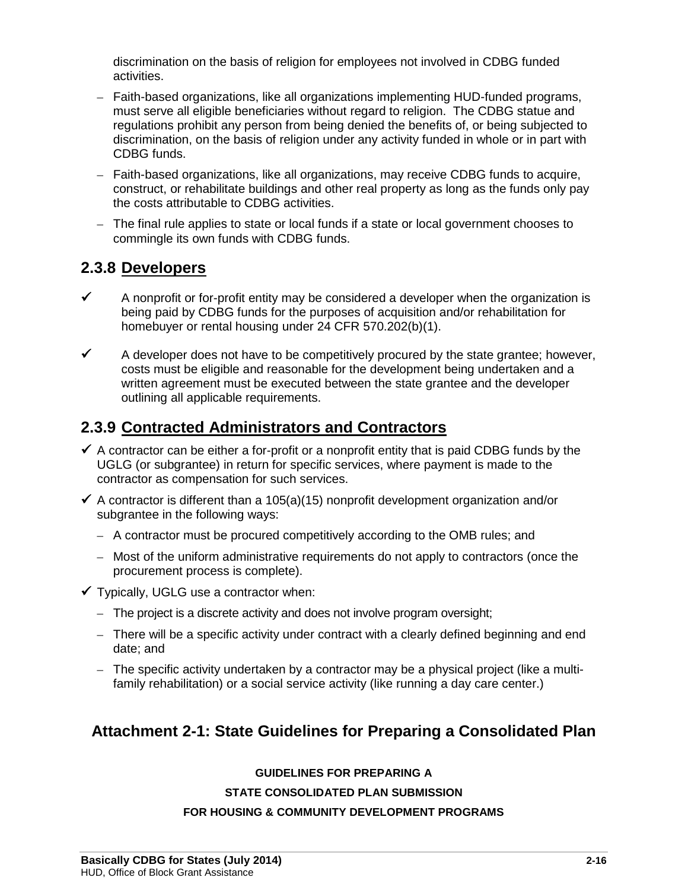discrimination on the basis of religion for employees not involved in CDBG funded activities.

- Faith-based organizations, like all organizations implementing HUD-funded programs, must serve all eligible beneficiaries without regard to religion. The CDBG statue and regulations prohibit any person from being denied the benefits of, or being subjected to discrimination, on the basis of religion under any activity funded in whole or in part with CDBG funds.
- Faith-based organizations, like all organizations, may receive CDBG funds to acquire, construct, or rehabilitate buildings and other real property as long as the funds only pay the costs attributable to CDBG activities.
- The final rule applies to state or local funds if a state or local government chooses to commingle its own funds with CDBG funds.

## **2.3.8 Developers**

- $\checkmark$  A nonprofit or for-profit entity may be considered a developer when the organization is being paid by CDBG funds for the purposes of acquisition and/or rehabilitation for homebuyer or rental housing under 24 CFR 570.202(b)(1).
- $\checkmark$  A developer does not have to be competitively procured by the state grantee; however, costs must be eligible and reasonable for the development being undertaken and a written agreement must be executed between the state grantee and the developer outlining all applicable requirements.

## **2.3.9 Contracted Administrators and Contractors**

- $\checkmark$  A contractor can be either a for-profit or a nonprofit entity that is paid CDBG funds by the UGLG (or subgrantee) in return for specific services, where payment is made to the contractor as compensation for such services.
- $\checkmark$  A contractor is different than a 105(a)(15) nonprofit development organization and/or subgrantee in the following ways:
	- A contractor must be procured competitively according to the OMB rules; and
	- Most of the uniform administrative requirements do not apply to contractors (once the procurement process is complete).
- $\checkmark$  Typically, UGLG use a contractor when:
	- The project is a discrete activity and does not involve program oversight;
	- There will be a specific activity under contract with a clearly defined beginning and end date; and
	- The specific activity undertaken by a contractor may be a physical project (like a multifamily rehabilitation) or a social service activity (like running a day care center.)

# **Attachment 2-1: State Guidelines for Preparing a Consolidated Plan**

### **GUIDELINES FOR PREPARING A**

### **STATE CONSOLIDATED PLAN SUBMISSION**

### **FOR HOUSING & COMMUNITY DEVELOPMENT PROGRAMS**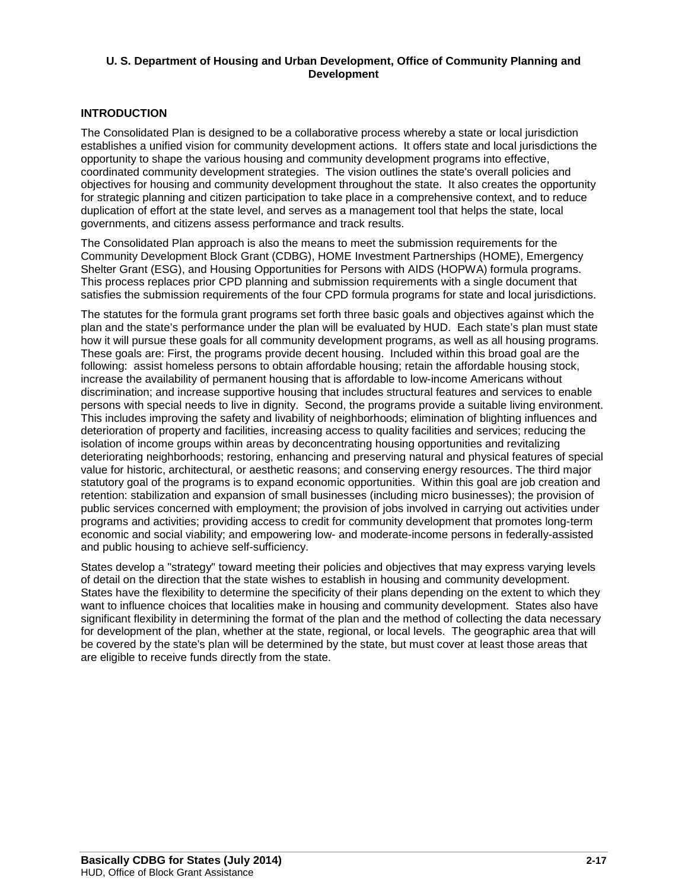#### **U. S. Department of Housing and Urban Development, Office of Community Planning and Development**

### **INTRODUCTION**

The Consolidated Plan is designed to be a collaborative process whereby a state or local jurisdiction establishes a unified vision for community development actions. It offers state and local jurisdictions the opportunity to shape the various housing and community development programs into effective, coordinated community development strategies. The vision outlines the state's overall policies and objectives for housing and community development throughout the state. It also creates the opportunity for strategic planning and citizen participation to take place in a comprehensive context, and to reduce duplication of effort at the state level, and serves as a management tool that helps the state, local governments, and citizens assess performance and track results.

The Consolidated Plan approach is also the means to meet the submission requirements for the Community Development Block Grant (CDBG), HOME Investment Partnerships (HOME), Emergency Shelter Grant (ESG), and Housing Opportunities for Persons with AIDS (HOPWA) formula programs. This process replaces prior CPD planning and submission requirements with a single document that satisfies the submission requirements of the four CPD formula programs for state and local jurisdictions.

The statutes for the formula grant programs set forth three basic goals and objectives against which the plan and the state's performance under the plan will be evaluated by HUD. Each state's plan must state how it will pursue these goals for all community development programs, as well as all housing programs. These goals are: First, the programs provide decent housing. Included within this broad goal are the following: assist homeless persons to obtain affordable housing; retain the affordable housing stock, increase the availability of permanent housing that is affordable to low-income Americans without discrimination; and increase supportive housing that includes structural features and services to enable persons with special needs to live in dignity. Second, the programs provide a suitable living environment. This includes improving the safety and livability of neighborhoods; elimination of blighting influences and deterioration of property and facilities, increasing access to quality facilities and services; reducing the isolation of income groups within areas by deconcentrating housing opportunities and revitalizing deteriorating neighborhoods; restoring, enhancing and preserving natural and physical features of special value for historic, architectural, or aesthetic reasons; and conserving energy resources. The third major statutory goal of the programs is to expand economic opportunities. Within this goal are job creation and retention: stabilization and expansion of small businesses (including micro businesses); the provision of public services concerned with employment; the provision of jobs involved in carrying out activities under programs and activities; providing access to credit for community development that promotes long-term economic and social viability; and empowering low- and moderate-income persons in federally-assisted and public housing to achieve self-sufficiency.

States develop a "strategy" toward meeting their policies and objectives that may express varying levels of detail on the direction that the state wishes to establish in housing and community development. States have the flexibility to determine the specificity of their plans depending on the extent to which they want to influence choices that localities make in housing and community development. States also have significant flexibility in determining the format of the plan and the method of collecting the data necessary for development of the plan, whether at the state, regional, or local levels. The geographic area that will be covered by the state's plan will be determined by the state, but must cover at least those areas that are eligible to receive funds directly from the state.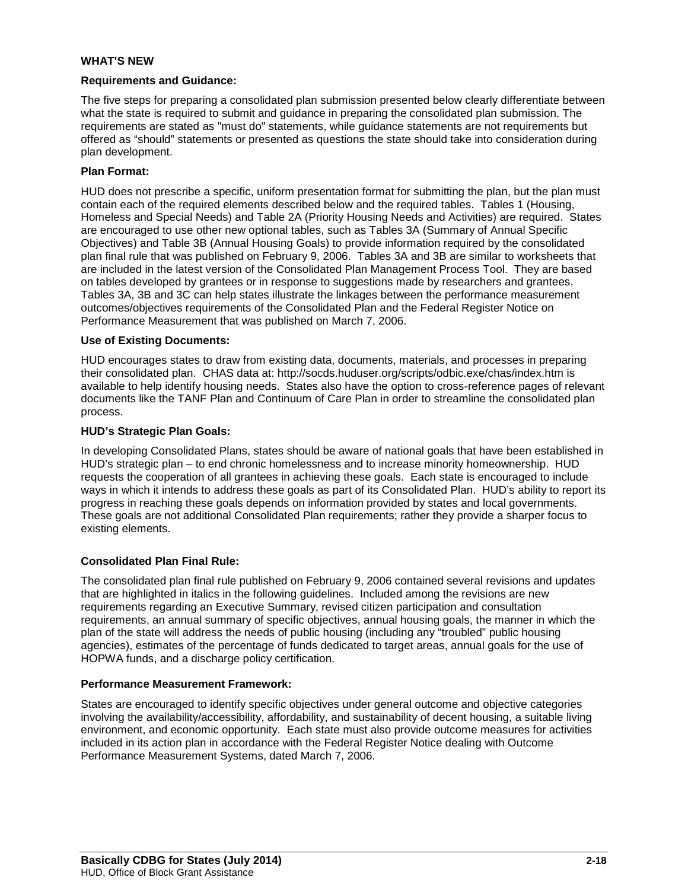#### **WHAT'S NEW**

#### **Requirements and Guidance:**

The five steps for preparing a consolidated plan submission presented below clearly differentiate between what the state is required to submit and guidance in preparing the consolidated plan submission. The requirements are stated as "must do" statements, while guidance statements are not requirements but offered as "should" statements or presented as questions the state should take into consideration during plan development.

#### **Plan Format:**

HUD does not prescribe a specific, uniform presentation format for submitting the plan, but the plan must contain each of the required elements described below and the required tables. Tables 1 (Housing, Homeless and Special Needs) and Table 2A (Priority Housing Needs and Activities) are required. States are encouraged to use other new optional tables, such as Tables 3A (Summary of Annual Specific Objectives) and Table 3B (Annual Housing Goals) to provide information required by the consolidated plan final rule that was published on February 9, 2006. Tables 3A and 3B are similar to worksheets that are included in the latest version of the Consolidated Plan Management Process Tool. They are based on tables developed by grantees or in response to suggestions made by researchers and grantees. Tables 3A, 3B and 3C can help states illustrate the linkages between the performance measurement outcomes/objectives requirements of the Consolidated Plan and the Federal Register Notice on Performance Measurement that was published on March 7, 2006.

#### **Use of Existing Documents:**

HUD encourages states to draw from existing data, documents, materials, and processes in preparing their consolidated plan. CHAS data at:<http://socds.huduser.org/scripts/odbic.exe/chas/index.htm> is available to help identify housing needs. States also have the option to cross-reference pages of relevant documents like the TANF Plan and Continuum of Care Plan in order to streamline the consolidated plan process.

#### **HUD's Strategic Plan Goals:**

In developing Consolidated Plans, states should be aware of national goals that have been established in HUD's strategic plan – to end chronic homelessness and to increase minority homeownership. HUD requests the cooperation of all grantees in achieving these goals. Each state is encouraged to include ways in which it intends to address these goals as part of its Consolidated Plan. HUD's ability to report its progress in reaching these goals depends on information provided by states and local governments. These goals are not additional Consolidated Plan requirements; rather they provide a sharper focus to existing elements.

### **Consolidated Plan Final Rule:**

The consolidated plan final rule published on February 9, 2006 contained several revisions and updates that are highlighted in italics in the following guidelines. Included among the revisions are new requirements regarding an Executive Summary, revised citizen participation and consultation requirements, an annual summary of specific objectives, annual housing goals, the manner in which the plan of the state will address the needs of public housing (including any "troubled" public housing agencies), estimates of the percentage of funds dedicated to target areas, annual goals for the use of HOPWA funds, and a discharge policy certification.

#### **Performance Measurement Framework:**

States are encouraged to identify specific objectives under general outcome and objective categories involving the availability/accessibility, affordability, and sustainability of decent housing, a suitable living environment, and economic opportunity. Each state must also provide outcome measures for activities included in its action plan in accordance with the Federal Register Notice dealing with Outcome Performance Measurement Systems, dated March 7, 2006.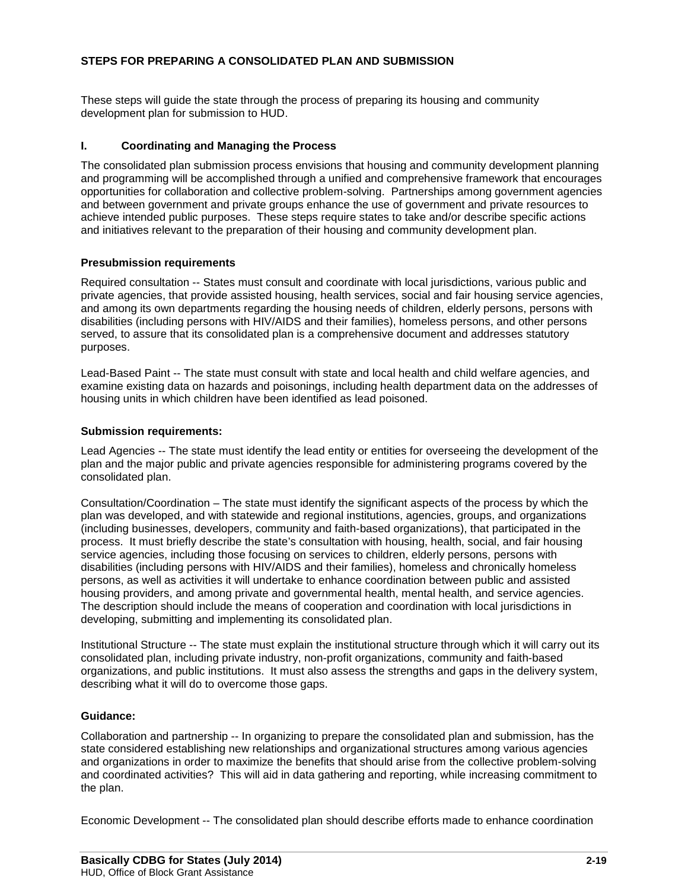### **STEPS FOR PREPARING A CONSOLIDATED PLAN AND SUBMISSION**

These steps will guide the state through the process of preparing its housing and community development plan for submission to HUD.

### **I. Coordinating and Managing the Process**

The consolidated plan submission process envisions that housing and community development planning and programming will be accomplished through a unified and comprehensive framework that encourages opportunities for collaboration and collective problem-solving. Partnerships among government agencies and between government and private groups enhance the use of government and private resources to achieve intended public purposes. These steps require states to take and/or describe specific actions and initiatives relevant to the preparation of their housing and community development plan.

### **Presubmission requirements**

Required consultation -- States must consult and coordinate with local jurisdictions, various public and private agencies, that provide assisted housing, health services, social and fair housing service agencies, and among its own departments regarding the housing needs of children, elderly persons, persons with disabilities (including persons with HIV/AIDS and their families), homeless persons, and other persons served, to assure that its consolidated plan is a comprehensive document and addresses statutory purposes.

Lead-Based Paint -- The state must consult with state and local health and child welfare agencies, and examine existing data on hazards and poisonings, including health department data on the addresses of housing units in which children have been identified as lead poisoned.

### **Submission requirements:**

Lead Agencies -- The state must identify the lead entity or entities for overseeing the development of the plan and the major public and private agencies responsible for administering programs covered by the consolidated plan.

Consultation/Coordination – The state must identify the significant aspects of the process by which the plan was developed, and with statewide and regional institutions, agencies, groups, and organizations (including businesses, developers, community and faith-based organizations), that participated in the process. It must briefly describe the state's consultation with housing, health, social, and fair housing service agencies, including those focusing on services to children, elderly persons, persons with disabilities (including persons with HIV/AIDS and their families), homeless and chronically homeless persons, as well as activities it will undertake to enhance coordination between public and assisted housing providers, and among private and governmental health, mental health, and service agencies. The description should include the means of cooperation and coordination with local jurisdictions in developing, submitting and implementing its consolidated plan.

Institutional Structure -- The state must explain the institutional structure through which it will carry out its consolidated plan, including private industry, non-profit organizations, community and faith-based organizations, and public institutions. It must also assess the strengths and gaps in the delivery system, describing what it will do to overcome those gaps.

### **Guidance:**

Collaboration and partnership -- In organizing to prepare the consolidated plan and submission, has the state considered establishing new relationships and organizational structures among various agencies and organizations in order to maximize the benefits that should arise from the collective problem-solving and coordinated activities? This will aid in data gathering and reporting, while increasing commitment to the plan.

Economic Development -- The consolidated plan should describe efforts made to enhance coordination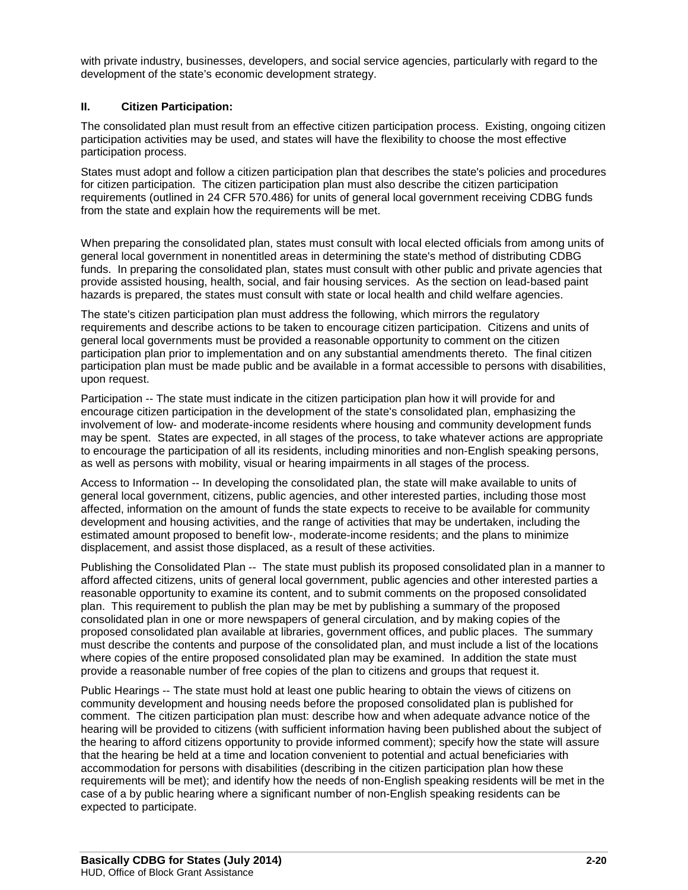with private industry, businesses, developers, and social service agencies, particularly with regard to the development of the state's economic development strategy.

### **II. Citizen Participation:**

The consolidated plan must result from an effective citizen participation process. Existing, ongoing citizen participation activities may be used, and states will have the flexibility to choose the most effective participation process.

States must adopt and follow a citizen participation plan that describes the state's policies and procedures for citizen participation. The citizen participation plan must also describe the citizen participation requirements (outlined in 24 CFR 570.486) for units of general local government receiving CDBG funds from the state and explain how the requirements will be met.

When preparing the consolidated plan, states must consult with local elected officials from among units of general local government in nonentitled areas in determining the state's method of distributing CDBG funds. In preparing the consolidated plan, states must consult with other public and private agencies that provide assisted housing, health, social, and fair housing services. As the section on lead-based paint hazards is prepared, the states must consult with state or local health and child welfare agencies.

The state's citizen participation plan must address the following, which mirrors the regulatory requirements and describe actions to be taken to encourage citizen participation. Citizens and units of general local governments must be provided a reasonable opportunity to comment on the citizen participation plan prior to implementation and on any substantial amendments thereto. The final citizen participation plan must be made public and be available in a format accessible to persons with disabilities, upon request.

Participation -- The state must indicate in the citizen participation plan how it will provide for and encourage citizen participation in the development of the state's consolidated plan, emphasizing the involvement of low- and moderate-income residents where housing and community development funds may be spent. States are expected, in all stages of the process, to take whatever actions are appropriate to encourage the participation of all its residents, including minorities and non-English speaking persons, as well as persons with mobility, visual or hearing impairments in all stages of the process.

Access to Information -- In developing the consolidated plan, the state will make available to units of general local government, citizens, public agencies, and other interested parties, including those most affected, information on the amount of funds the state expects to receive to be available for community development and housing activities, and the range of activities that may be undertaken, including the estimated amount proposed to benefit low-, moderate-income residents; and the plans to minimize displacement, and assist those displaced, as a result of these activities.

Publishing the Consolidated Plan -- The state must publish its proposed consolidated plan in a manner to afford affected citizens, units of general local government, public agencies and other interested parties a reasonable opportunity to examine its content, and to submit comments on the proposed consolidated plan. This requirement to publish the plan may be met by publishing a summary of the proposed consolidated plan in one or more newspapers of general circulation, and by making copies of the proposed consolidated plan available at libraries, government offices, and public places. The summary must describe the contents and purpose of the consolidated plan, and must include a list of the locations where copies of the entire proposed consolidated plan may be examined. In addition the state must provide a reasonable number of free copies of the plan to citizens and groups that request it.

Public Hearings -- The state must hold at least one public hearing to obtain the views of citizens on community development and housing needs before the proposed consolidated plan is published for comment. The citizen participation plan must: describe how and when adequate advance notice of the hearing will be provided to citizens (with sufficient information having been published about the subject of the hearing to afford citizens opportunity to provide informed comment); specify how the state will assure that the hearing be held at a time and location convenient to potential and actual beneficiaries with accommodation for persons with disabilities (describing in the citizen participation plan how these requirements will be met); and identify how the needs of non-English speaking residents will be met in the case of a by public hearing where a significant number of non-English speaking residents can be expected to participate.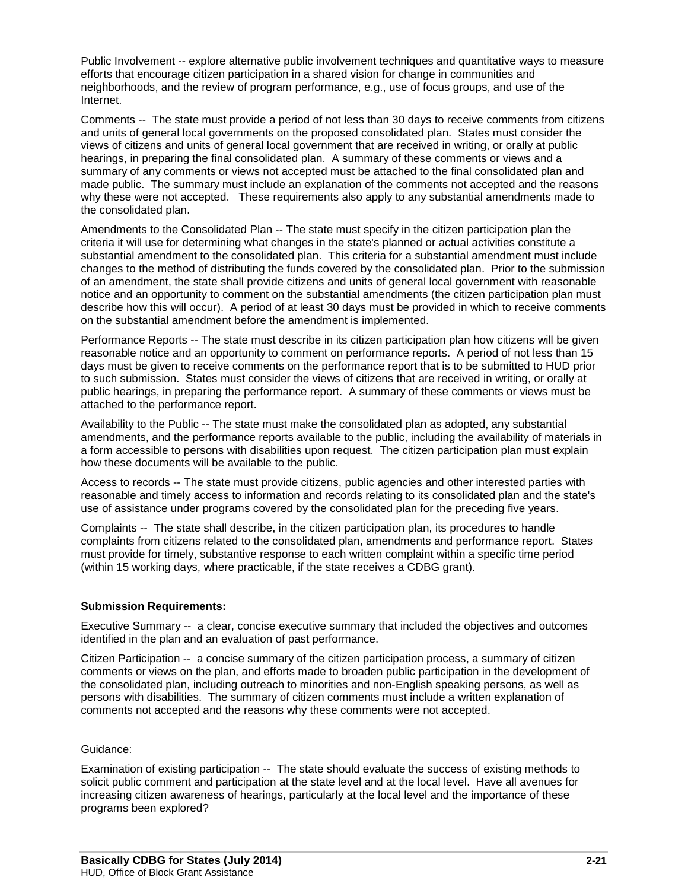Public Involvement -- explore alternative public involvement techniques and quantitative ways to measure efforts that encourage citizen participation in a shared vision for change in communities and neighborhoods, and the review of program performance, e.g., use of focus groups, and use of the Internet.

Comments -- The state must provide a period of not less than 30 days to receive comments from citizens and units of general local governments on the proposed consolidated plan. States must consider the views of citizens and units of general local government that are received in writing, or orally at public hearings, in preparing the final consolidated plan. A summary of these comments or views and a summary of any comments or views not accepted must be attached to the final consolidated plan and made public. The summary must include an explanation of the comments not accepted and the reasons why these were not accepted. These requirements also apply to any substantial amendments made to the consolidated plan.

Amendments to the Consolidated Plan -- The state must specify in the citizen participation plan the criteria it will use for determining what changes in the state's planned or actual activities constitute a substantial amendment to the consolidated plan. This criteria for a substantial amendment must include changes to the method of distributing the funds covered by the consolidated plan. Prior to the submission of an amendment, the state shall provide citizens and units of general local government with reasonable notice and an opportunity to comment on the substantial amendments (the citizen participation plan must describe how this will occur). A period of at least 30 days must be provided in which to receive comments on the substantial amendment before the amendment is implemented.

Performance Reports -- The state must describe in its citizen participation plan how citizens will be given reasonable notice and an opportunity to comment on performance reports. A period of not less than 15 days must be given to receive comments on the performance report that is to be submitted to HUD prior to such submission. States must consider the views of citizens that are received in writing, or orally at public hearings, in preparing the performance report. A summary of these comments or views must be attached to the performance report.

Availability to the Public -- The state must make the consolidated plan as adopted, any substantial amendments, and the performance reports available to the public, including the availability of materials in a form accessible to persons with disabilities upon request. The citizen participation plan must explain how these documents will be available to the public.

Access to records -- The state must provide citizens, public agencies and other interested parties with reasonable and timely access to information and records relating to its consolidated plan and the state's use of assistance under programs covered by the consolidated plan for the preceding five years.

Complaints -- The state shall describe, in the citizen participation plan, its procedures to handle complaints from citizens related to the consolidated plan, amendments and performance report. States must provide for timely, substantive response to each written complaint within a specific time period (within 15 working days, where practicable, if the state receives a CDBG grant).

#### **Submission Requirements:**

Executive Summary -- a clear, concise executive summary that included the objectives and outcomes identified in the plan and an evaluation of past performance.

Citizen Participation -- a concise summary of the citizen participation process, a summary of citizen comments or views on the plan, and efforts made to broaden public participation in the development of the consolidated plan, including outreach to minorities and non-English speaking persons, as well as persons with disabilities. The summary of citizen comments must include a written explanation of comments not accepted and the reasons why these comments were not accepted.

#### Guidance:

Examination of existing participation -- The state should evaluate the success of existing methods to solicit public comment and participation at the state level and at the local level. Have all avenues for increasing citizen awareness of hearings, particularly at the local level and the importance of these programs been explored?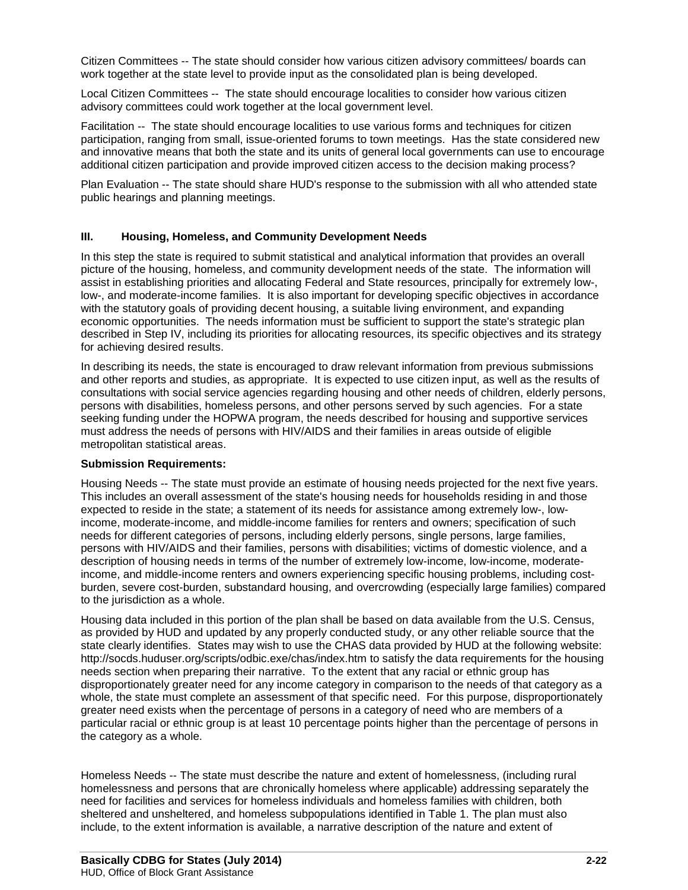Citizen Committees -- The state should consider how various citizen advisory committees/ boards can work together at the state level to provide input as the consolidated plan is being developed.

Local Citizen Committees -- The state should encourage localities to consider how various citizen advisory committees could work together at the local government level.

Facilitation -- The state should encourage localities to use various forms and techniques for citizen participation, ranging from small, issue-oriented forums to town meetings. Has the state considered new and innovative means that both the state and its units of general local governments can use to encourage additional citizen participation and provide improved citizen access to the decision making process?

Plan Evaluation -- The state should share HUD's response to the submission with all who attended state public hearings and planning meetings.

#### **III. Housing, Homeless, and Community Development Needs**

In this step the state is required to submit statistical and analytical information that provides an overall picture of the housing, homeless, and community development needs of the state. The information will assist in establishing priorities and allocating Federal and State resources, principally for extremely low-, low-, and moderate-income families. It is also important for developing specific objectives in accordance with the statutory goals of providing decent housing, a suitable living environment, and expanding economic opportunities. The needs information must be sufficient to support the state's strategic plan described in Step IV, including its priorities for allocating resources, its specific objectives and its strategy for achieving desired results.

In describing its needs, the state is encouraged to draw relevant information from previous submissions and other reports and studies, as appropriate. It is expected to use citizen input, as well as the results of consultations with social service agencies regarding housing and other needs of children, elderly persons, persons with disabilities, homeless persons, and other persons served by such agencies. For a state seeking funding under the HOPWA program, the needs described for housing and supportive services must address the needs of persons with HIV/AIDS and their families in areas outside of eligible metropolitan statistical areas.

#### **Submission Requirements:**

Housing Needs -- The state must provide an estimate of housing needs projected for the next five years. This includes an overall assessment of the state's housing needs for households residing in and those expected to reside in the state; a statement of its needs for assistance among extremely low-, lowincome, moderate-income, and middle-income families for renters and owners; specification of such needs for different categories of persons, including elderly persons, single persons, large families, persons with HIV/AIDS and their families, persons with disabilities; victims of domestic violence, and a description of housing needs in terms of the number of extremely low-income, low-income, moderateincome, and middle-income renters and owners experiencing specific housing problems, including costburden, severe cost-burden, substandard housing, and overcrowding (especially large families) compared to the jurisdiction as a whole.

Housing data included in this portion of the plan shall be based on data available from the U.S. Census, as provided by HUD and updated by any properly conducted study, or any other reliable source that the state clearly identifies. States may wish to use the CHAS data provided by HUD at the following website: http://socds.huduser.org/scripts/odbic.exe/chas/index.htm to satisfy the data requirements for the housing needs section when preparing their narrative. To the extent that any racial or ethnic group has disproportionately greater need for any income category in comparison to the needs of that category as a whole, the state must complete an assessment of that specific need. For this purpose, disproportionately greater need exists when the percentage of persons in a category of need who are members of a particular racial or ethnic group is at least 10 percentage points higher than the percentage of persons in the category as a whole.

Homeless Needs -- The state must describe the nature and extent of homelessness, (including rural homelessness and persons that are chronically homeless where applicable) addressing separately the need for facilities and services for homeless individuals and homeless families with children, both sheltered and unsheltered, and homeless subpopulations identified in Table 1. The plan must also include, to the extent information is available, a narrative description of the nature and extent of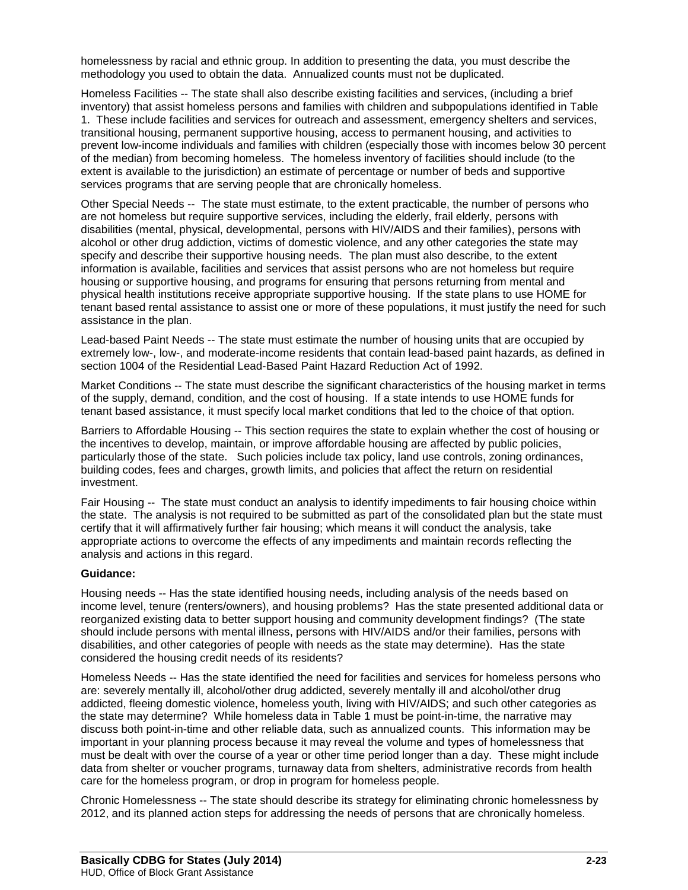homelessness by racial and ethnic group. In addition to presenting the data, you must describe the methodology you used to obtain the data. Annualized counts must not be duplicated.

Homeless Facilities -- The state shall also describe existing facilities and services, (including a brief inventory) that assist homeless persons and families with children and subpopulations identified in Table 1. These include facilities and services for outreach and assessment, emergency shelters and services, transitional housing, permanent supportive housing, access to permanent housing, and activities to prevent low-income individuals and families with children (especially those with incomes below 30 percent of the median) from becoming homeless. The homeless inventory of facilities should include (to the extent is available to the jurisdiction) an estimate of percentage or number of beds and supportive services programs that are serving people that are chronically homeless.

Other Special Needs -- The state must estimate, to the extent practicable, the number of persons who are not homeless but require supportive services, including the elderly, frail elderly, persons with disabilities (mental, physical, developmental, persons with HIV/AIDS and their families), persons with alcohol or other drug addiction, victims of domestic violence, and any other categories the state may specify and describe their supportive housing needs. The plan must also describe, to the extent information is available, facilities and services that assist persons who are not homeless but require housing or supportive housing, and programs for ensuring that persons returning from mental and physical health institutions receive appropriate supportive housing. If the state plans to use HOME for tenant based rental assistance to assist one or more of these populations, it must justify the need for such assistance in the plan.

Lead-based Paint Needs -- The state must estimate the number of housing units that are occupied by extremely low-, low-, and moderate-income residents that contain lead-based paint hazards, as defined in section 1004 of the Residential Lead-Based Paint Hazard Reduction Act of 1992.

Market Conditions -- The state must describe the significant characteristics of the housing market in terms of the supply, demand, condition, and the cost of housing. If a state intends to use HOME funds for tenant based assistance, it must specify local market conditions that led to the choice of that option.

Barriers to Affordable Housing -- This section requires the state to explain whether the cost of housing or the incentives to develop, maintain, or improve affordable housing are affected by public policies, particularly those of the state. Such policies include tax policy, land use controls, zoning ordinances, building codes, fees and charges, growth limits, and policies that affect the return on residential investment.

Fair Housing -- The state must conduct an analysis to identify impediments to fair housing choice within the state. The analysis is not required to be submitted as part of the consolidated plan but the state must certify that it will affirmatively further fair housing; which means it will conduct the analysis, take appropriate actions to overcome the effects of any impediments and maintain records reflecting the analysis and actions in this regard.

#### **Guidance:**

Housing needs -- Has the state identified housing needs, including analysis of the needs based on income level, tenure (renters/owners), and housing problems? Has the state presented additional data or reorganized existing data to better support housing and community development findings? (The state should include persons with mental illness, persons with HIV/AIDS and/or their families, persons with disabilities, and other categories of people with needs as the state may determine). Has the state considered the housing credit needs of its residents?

Homeless Needs -- Has the state identified the need for facilities and services for homeless persons who are: severely mentally ill, alcohol/other drug addicted, severely mentally ill and alcohol/other drug addicted, fleeing domestic violence, homeless youth, living with HIV/AIDS; and such other categories as the state may determine? While homeless data in Table 1 must be point-in-time, the narrative may discuss both point-in-time and other reliable data, such as annualized counts. This information may be important in your planning process because it may reveal the volume and types of homelessness that must be dealt with over the course of a year or other time period longer than a day. These might include data from shelter or voucher programs, turnaway data from shelters, administrative records from health care for the homeless program, or drop in program for homeless people.

Chronic Homelessness -- The state should describe its strategy for eliminating chronic homelessness by 2012, and its planned action steps for addressing the needs of persons that are chronically homeless.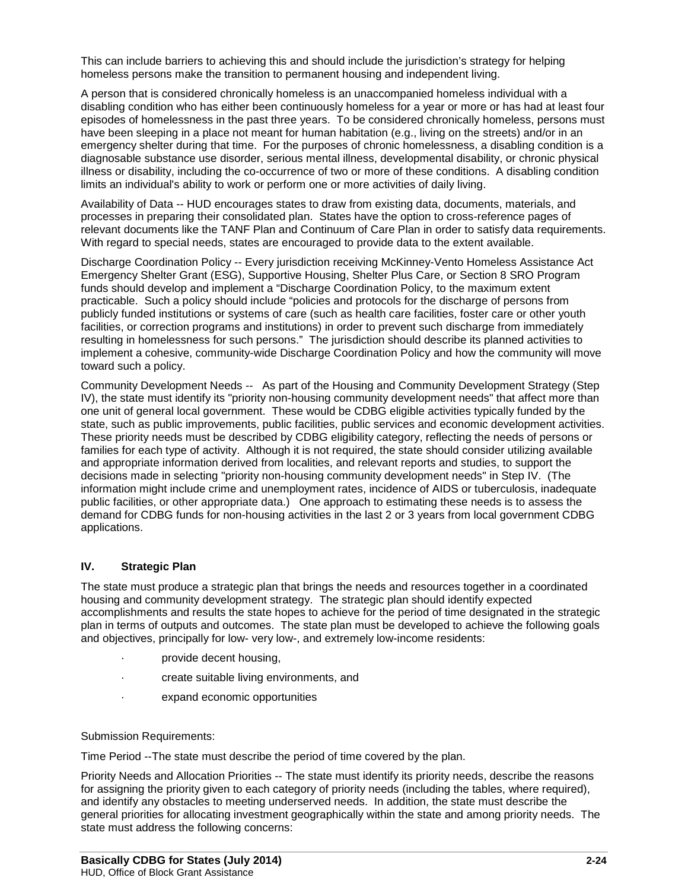This can include barriers to achieving this and should include the jurisdiction's strategy for helping homeless persons make the transition to permanent housing and independent living.

A person that is considered chronically homeless is an unaccompanied homeless individual with a disabling condition who has either been continuously homeless for a year or more or has had at least four episodes of homelessness in the past three years. To be considered chronically homeless, persons must have been sleeping in a place not meant for human habitation (e.g., living on the streets) and/or in an emergency shelter during that time. For the purposes of chronic homelessness, a disabling condition is a diagnosable substance use disorder, serious mental illness, developmental disability, or chronic physical illness or disability, including the co-occurrence of two or more of these conditions. A disabling condition limits an individual's ability to work or perform one or more activities of daily living.

Availability of Data -- HUD encourages states to draw from existing data, documents, materials, and processes in preparing their consolidated plan. States have the option to cross-reference pages of relevant documents like the TANF Plan and Continuum of Care Plan in order to satisfy data requirements. With regard to special needs, states are encouraged to provide data to the extent available.

Discharge Coordination Policy -- Every jurisdiction receiving McKinney-Vento Homeless Assistance Act Emergency Shelter Grant (ESG), Supportive Housing, Shelter Plus Care, or Section 8 SRO Program funds should develop and implement a "Discharge Coordination Policy, to the maximum extent practicable. Such a policy should include "policies and protocols for the discharge of persons from publicly funded institutions or systems of care (such as health care facilities, foster care or other youth facilities, or correction programs and institutions) in order to prevent such discharge from immediately resulting in homelessness for such persons." The jurisdiction should describe its planned activities to implement a cohesive, community-wide Discharge Coordination Policy and how the community will move toward such a policy.

Community Development Needs -- As part of the Housing and Community Development Strategy (Step IV), the state must identify its "priority non-housing community development needs" that affect more than one unit of general local government. These would be CDBG eligible activities typically funded by the state, such as public improvements, public facilities, public services and economic development activities. These priority needs must be described by CDBG eligibility category, reflecting the needs of persons or families for each type of activity. Although it is not required, the state should consider utilizing available and appropriate information derived from localities, and relevant reports and studies, to support the decisions made in selecting "priority non-housing community development needs" in Step IV. (The information might include crime and unemployment rates, incidence of AIDS or tuberculosis, inadequate public facilities, or other appropriate data.) One approach to estimating these needs is to assess the demand for CDBG funds for non-housing activities in the last 2 or 3 years from local government CDBG applications.

#### **IV. Strategic Plan**

The state must produce a strategic plan that brings the needs and resources together in a coordinated housing and community development strategy. The strategic plan should identify expected accomplishments and results the state hopes to achieve for the period of time designated in the strategic plan in terms of outputs and outcomes. The state plan must be developed to achieve the following goals and objectives, principally for low- very low-, and extremely low-income residents:

- provide decent housing,
- · create suitable living environments, and
- · expand economic opportunities

#### Submission Requirements:

Time Period --The state must describe the period of time covered by the plan.

Priority Needs and Allocation Priorities -- The state must identify its priority needs, describe the reasons for assigning the priority given to each category of priority needs (including the tables, where required), and identify any obstacles to meeting underserved needs. In addition, the state must describe the general priorities for allocating investment geographically within the state and among priority needs. The state must address the following concerns: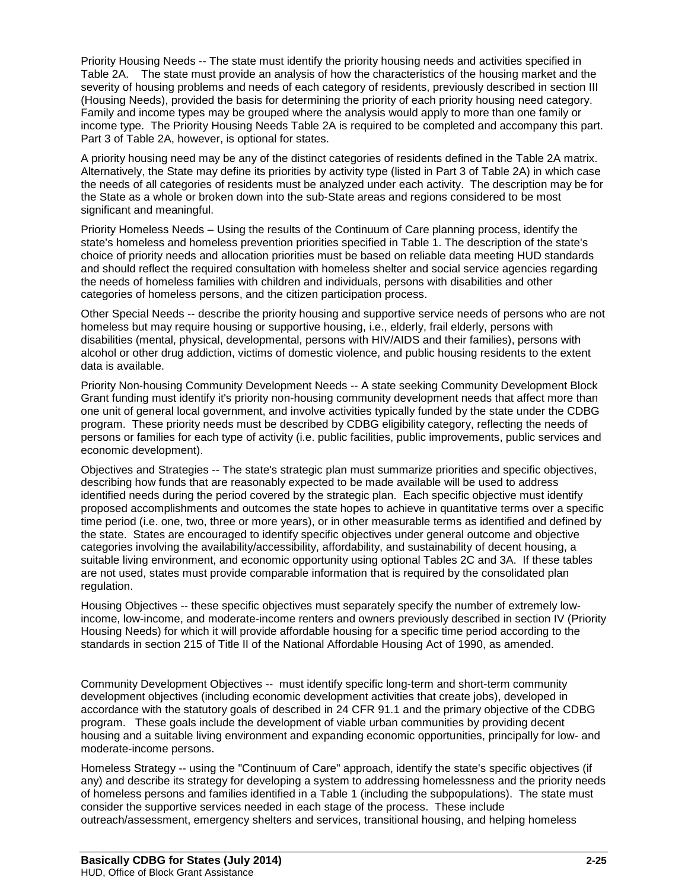Priority Housing Needs -- The state must identify the priority housing needs and activities specified in Table 2A. The state must provide an analysis of how the characteristics of the housing market and the severity of housing problems and needs of each category of residents, previously described in section III (Housing Needs), provided the basis for determining the priority of each priority housing need category. Family and income types may be grouped where the analysis would apply to more than one family or income type. The Priority Housing Needs Table 2A is required to be completed and accompany this part. Part 3 of Table 2A, however, is optional for states.

A priority housing need may be any of the distinct categories of residents defined in the Table 2A matrix. Alternatively, the State may define its priorities by activity type (listed in Part 3 of Table 2A) in which case the needs of all categories of residents must be analyzed under each activity. The description may be for the State as a whole or broken down into the sub-State areas and regions considered to be most significant and meaningful.

Priority Homeless Needs – Using the results of the Continuum of Care planning process, identify the state's homeless and homeless prevention priorities specified in Table 1. The description of the state's choice of priority needs and allocation priorities must be based on reliable data meeting HUD standards and should reflect the required consultation with homeless shelter and social service agencies regarding the needs of homeless families with children and individuals, persons with disabilities and other categories of homeless persons, and the citizen participation process.

Other Special Needs -- describe the priority housing and supportive service needs of persons who are not homeless but may require housing or supportive housing, i.e., elderly, frail elderly, persons with disabilities (mental, physical, developmental, persons with HIV/AIDS and their families), persons with alcohol or other drug addiction, victims of domestic violence, and public housing residents to the extent data is available.

Priority Non-housing Community Development Needs -- A state seeking Community Development Block Grant funding must identify it's priority non-housing community development needs that affect more than one unit of general local government, and involve activities typically funded by the state under the CDBG program. These priority needs must be described by CDBG eligibility category, reflecting the needs of persons or families for each type of activity (i.e. public facilities, public improvements, public services and economic development).

Objectives and Strategies -- The state's strategic plan must summarize priorities and specific objectives, describing how funds that are reasonably expected to be made available will be used to address identified needs during the period covered by the strategic plan. Each specific objective must identify proposed accomplishments and outcomes the state hopes to achieve in quantitative terms over a specific time period (i.e. one, two, three or more years), or in other measurable terms as identified and defined by the state. States are encouraged to identify specific objectives under general outcome and objective categories involving the availability/accessibility, affordability, and sustainability of decent housing, a suitable living environment, and economic opportunity using optional Tables 2C and 3A. If these tables are not used, states must provide comparable information that is required by the consolidated plan regulation.

Housing Objectives -- these specific objectives must separately specify the number of extremely lowincome, low-income, and moderate-income renters and owners previously described in section IV (Priority Housing Needs) for which it will provide affordable housing for a specific time period according to the standards in section 215 of Title II of the National Affordable Housing Act of 1990, as amended.

Community Development Objectives -- must identify specific long-term and short-term community development objectives (including economic development activities that create jobs), developed in accordance with the statutory goals of described in 24 CFR 91.1 and the primary objective of the CDBG program. These goals include the development of viable urban communities by providing decent housing and a suitable living environment and expanding economic opportunities, principally for low- and moderate-income persons.

Homeless Strategy -- using the "Continuum of Care" approach, identify the state's specific objectives (if any) and describe its strategy for developing a system to addressing homelessness and the priority needs of homeless persons and families identified in a Table 1 (including the subpopulations). The state must consider the supportive services needed in each stage of the process. These include outreach/assessment, emergency shelters and services, transitional housing, and helping homeless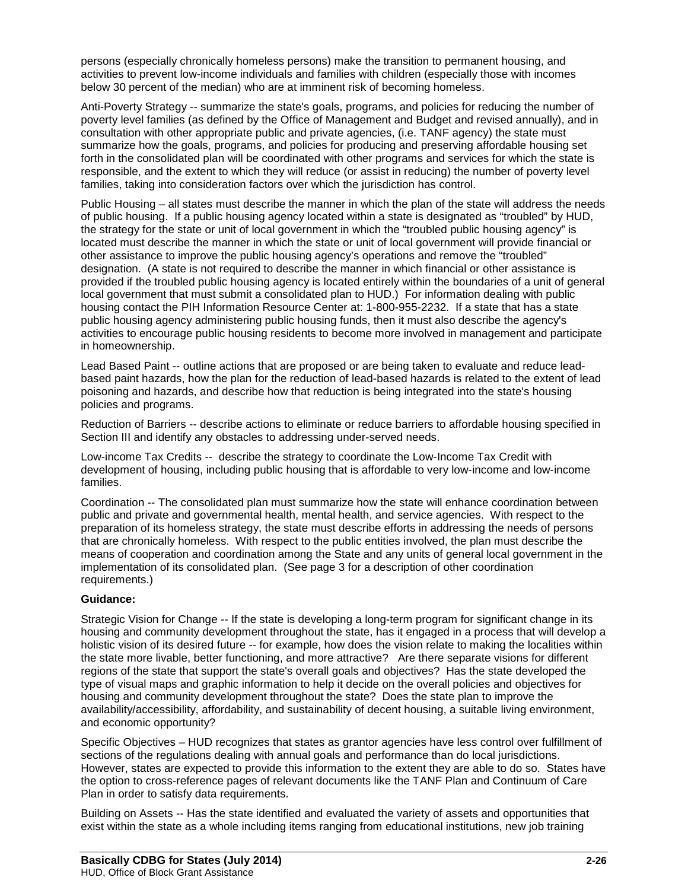persons (especially chronically homeless persons) make the transition to permanent housing, and activities to prevent low-income individuals and families with children (especially those with incomes below 30 percent of the median) who are at imminent risk of becoming homeless.

Anti-Poverty Strategy -- summarize the state's goals, programs, and policies for reducing the number of poverty level families (as defined by the Office of Management and Budget and revised annually), and in consultation with other appropriate public and private agencies, (i.e. TANF agency) the state must summarize how the goals, programs, and policies for producing and preserving affordable housing set forth in the consolidated plan will be coordinated with other programs and services for which the state is responsible, and the extent to which they will reduce (or assist in reducing) the number of poverty level families, taking into consideration factors over which the jurisdiction has control.

Public Housing – all states must describe the manner in which the plan of the state will address the needs of public housing. If a public housing agency located within a state is designated as "troubled" by HUD, the strategy for the state or unit of local government in which the "troubled public housing agency" is located must describe the manner in which the state or unit of local government will provide financial or other assistance to improve the public housing agency's operations and remove the "troubled" designation. (A state is not required to describe the manner in which financial or other assistance is provided if the troubled public housing agency is located entirely within the boundaries of a unit of general local government that must submit a consolidated plan to HUD.) For information dealing with public housing contact the PIH Information Resource Center at: 1-800-955-2232. If a state that has a state public housing agency administering public housing funds, then it must also describe the agency's activities to encourage public housing residents to become more involved in management and participate in homeownership.

Lead Based Paint -- outline actions that are proposed or are being taken to evaluate and reduce leadbased paint hazards, how the plan for the reduction of lead-based hazards is related to the extent of lead poisoning and hazards, and describe how that reduction is being integrated into the state's housing policies and programs.

Reduction of Barriers -- describe actions to eliminate or reduce barriers to affordable housing specified in Section III and identify any obstacles to addressing under-served needs.

Low-income Tax Credits -- describe the strategy to coordinate the Low-Income Tax Credit with development of housing, including public housing that is affordable to very low-income and low-income families.

Coordination -- The consolidated plan must summarize how the state will enhance coordination between public and private and governmental health, mental health, and service agencies. With respect to the preparation of its homeless strategy, the state must describe efforts in addressing the needs of persons that are chronically homeless. With respect to the public entities involved, the plan must describe the means of cooperation and coordination among the State and any units of general local government in the implementation of its consolidated plan. (See page 3 for a description of other coordination requirements.)

### **Guidance:**

Strategic Vision for Change -- If the state is developing a long-term program for significant change in its housing and community development throughout the state, has it engaged in a process that will develop a holistic vision of its desired future -- for example, how does the vision relate to making the localities within the state more livable, better functioning, and more attractive? Are there separate visions for different regions of the state that support the state's overall goals and objectives? Has the state developed the type of visual maps and graphic information to help it decide on the overall policies and objectives for housing and community development throughout the state? Does the state plan to improve the availability/accessibility, affordability, and sustainability of decent housing, a suitable living environment, and economic opportunity?

Specific Objectives – HUD recognizes that states as grantor agencies have less control over fulfillment of sections of the regulations dealing with annual goals and performance than do local jurisdictions. However, states are expected to provide this information to the extent they are able to do so. States have the option to cross-reference pages of relevant documents like the TANF Plan and Continuum of Care Plan in order to satisfy data requirements.

Building on Assets -- Has the state identified and evaluated the variety of assets and opportunities that exist within the state as a whole including items ranging from educational institutions, new job training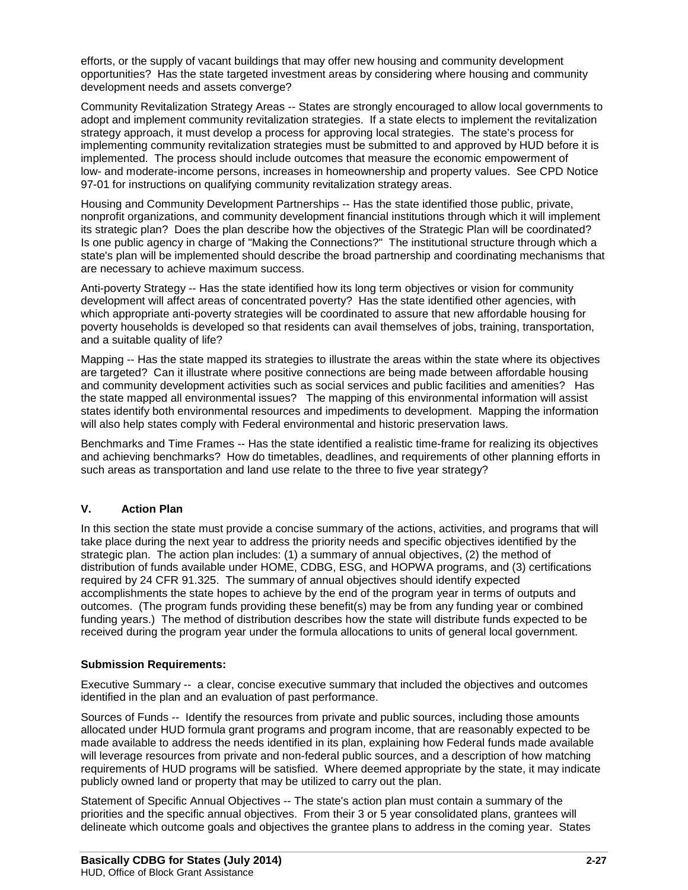efforts, or the supply of vacant buildings that may offer new housing and community development opportunities? Has the state targeted investment areas by considering where housing and community development needs and assets converge?

Community Revitalization Strategy Areas -- States are strongly encouraged to allow local governments to adopt and implement community revitalization strategies. If a state elects to implement the revitalization strategy approach, it must develop a process for approving local strategies. The state's process for implementing community revitalization strategies must be submitted to and approved by HUD before it is implemented. The process should include outcomes that measure the economic empowerment of low- and moderate-income persons, increases in homeownership and property values. See CPD Notice 97-01 for instructions on qualifying community revitalization strategy areas.

Housing and Community Development Partnerships -- Has the state identified those public, private, nonprofit organizations, and community development financial institutions through which it will implement its strategic plan? Does the plan describe how the objectives of the Strategic Plan will be coordinated? Is one public agency in charge of "Making the Connections?" The institutional structure through which a state's plan will be implemented should describe the broad partnership and coordinating mechanisms that are necessary to achieve maximum success.

Anti-poverty Strategy -- Has the state identified how its long term objectives or vision for community development will affect areas of concentrated poverty? Has the state identified other agencies, with which appropriate anti-poverty strategies will be coordinated to assure that new affordable housing for poverty households is developed so that residents can avail themselves of jobs, training, transportation, and a suitable quality of life?

Mapping -- Has the state mapped its strategies to illustrate the areas within the state where its objectives are targeted? Can it illustrate where positive connections are being made between affordable housing and community development activities such as social services and public facilities and amenities? Has the state mapped all environmental issues? The mapping of this environmental information will assist states identify both environmental resources and impediments to development. Mapping the information will also help states comply with Federal environmental and historic preservation laws.

Benchmarks and Time Frames -- Has the state identified a realistic time-frame for realizing its objectives and achieving benchmarks? How do timetables, deadlines, and requirements of other planning efforts in such areas as transportation and land use relate to the three to five year strategy?

### **V. Action Plan**

In this section the state must provide a concise summary of the actions, activities, and programs that will take place during the next year to address the priority needs and specific objectives identified by the strategic plan. The action plan includes: (1) a summary of annual objectives, (2) the method of distribution of funds available under HOME, CDBG, ESG, and HOPWA programs, and (3) certifications required by 24 CFR 91.325. The summary of annual objectives should identify expected accomplishments the state hopes to achieve by the end of the program year in terms of outputs and outcomes. (The program funds providing these benefit(s) may be from any funding year or combined funding years.) The method of distribution describes how the state will distribute funds expected to be received during the program year under the formula allocations to units of general local government.

### **Submission Requirements:**

Executive Summary -- a clear, concise executive summary that included the objectives and outcomes identified in the plan and an evaluation of past performance.

Sources of Funds -- Identify the resources from private and public sources, including those amounts allocated under HUD formula grant programs and program income, that are reasonably expected to be made available to address the needs identified in its plan, explaining how Federal funds made available will leverage resources from private and non-federal public sources, and a description of how matching requirements of HUD programs will be satisfied. Where deemed appropriate by the state, it may indicate publicly owned land or property that may be utilized to carry out the plan.

Statement of Specific Annual Objectives -- The state's action plan must contain a summary of the priorities and the specific annual objectives. From their 3 or 5 year consolidated plans, grantees will delineate which outcome goals and objectives the grantee plans to address in the coming year. States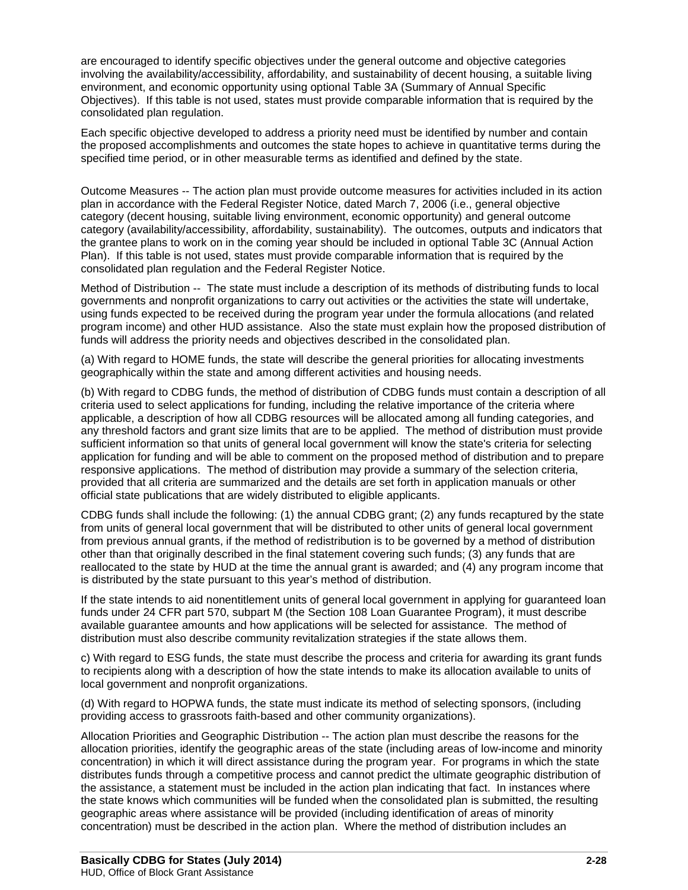are encouraged to identify specific objectives under the general outcome and objective categories involving the availability/accessibility, affordability, and sustainability of decent housing, a suitable living environment, and economic opportunity using optional Table 3A (Summary of Annual Specific Objectives). If this table is not used, states must provide comparable information that is required by the consolidated plan regulation.

Each specific objective developed to address a priority need must be identified by number and contain the proposed accomplishments and outcomes the state hopes to achieve in quantitative terms during the specified time period, or in other measurable terms as identified and defined by the state.

Outcome Measures -- The action plan must provide outcome measures for activities included in its action plan in accordance with the Federal Register Notice, dated March 7, 2006 (i.e., general objective category (decent housing, suitable living environment, economic opportunity) and general outcome category (availability/accessibility, affordability, sustainability). The outcomes, outputs and indicators that the grantee plans to work on in the coming year should be included in optional Table 3C (Annual Action Plan). If this table is not used, states must provide comparable information that is required by the consolidated plan regulation and the Federal Register Notice.

Method of Distribution -- The state must include a description of its methods of distributing funds to local governments and nonprofit organizations to carry out activities or the activities the state will undertake, using funds expected to be received during the program year under the formula allocations (and related program income) and other HUD assistance. Also the state must explain how the proposed distribution of funds will address the priority needs and objectives described in the consolidated plan.

(a) With regard to HOME funds, the state will describe the general priorities for allocating investments geographically within the state and among different activities and housing needs.

(b) With regard to CDBG funds, the method of distribution of CDBG funds must contain a description of all criteria used to select applications for funding, including the relative importance of the criteria where applicable, a description of how all CDBG resources will be allocated among all funding categories, and any threshold factors and grant size limits that are to be applied. The method of distribution must provide sufficient information so that units of general local government will know the state's criteria for selecting application for funding and will be able to comment on the proposed method of distribution and to prepare responsive applications. The method of distribution may provide a summary of the selection criteria, provided that all criteria are summarized and the details are set forth in application manuals or other official state publications that are widely distributed to eligible applicants.

CDBG funds shall include the following: (1) the annual CDBG grant; (2) any funds recaptured by the state from units of general local government that will be distributed to other units of general local government from previous annual grants, if the method of redistribution is to be governed by a method of distribution other than that originally described in the final statement covering such funds; (3) any funds that are reallocated to the state by HUD at the time the annual grant is awarded; and (4) any program income that is distributed by the state pursuant to this year's method of distribution.

If the state intends to aid nonentitlement units of general local government in applying for guaranteed loan funds under 24 CFR part 570, subpart M (the Section 108 Loan Guarantee Program), it must describe available guarantee amounts and how applications will be selected for assistance. The method of distribution must also describe community revitalization strategies if the state allows them.

c) With regard to ESG funds, the state must describe the process and criteria for awarding its grant funds to recipients along with a description of how the state intends to make its allocation available to units of local government and nonprofit organizations.

(d) With regard to HOPWA funds, the state must indicate its method of selecting sponsors, (including providing access to grassroots faith-based and other community organizations).

Allocation Priorities and Geographic Distribution -- The action plan must describe the reasons for the allocation priorities, identify the geographic areas of the state (including areas of low-income and minority concentration) in which it will direct assistance during the program year. For programs in which the state distributes funds through a competitive process and cannot predict the ultimate geographic distribution of the assistance, a statement must be included in the action plan indicating that fact. In instances where the state knows which communities will be funded when the consolidated plan is submitted, the resulting geographic areas where assistance will be provided (including identification of areas of minority concentration) must be described in the action plan. Where the method of distribution includes an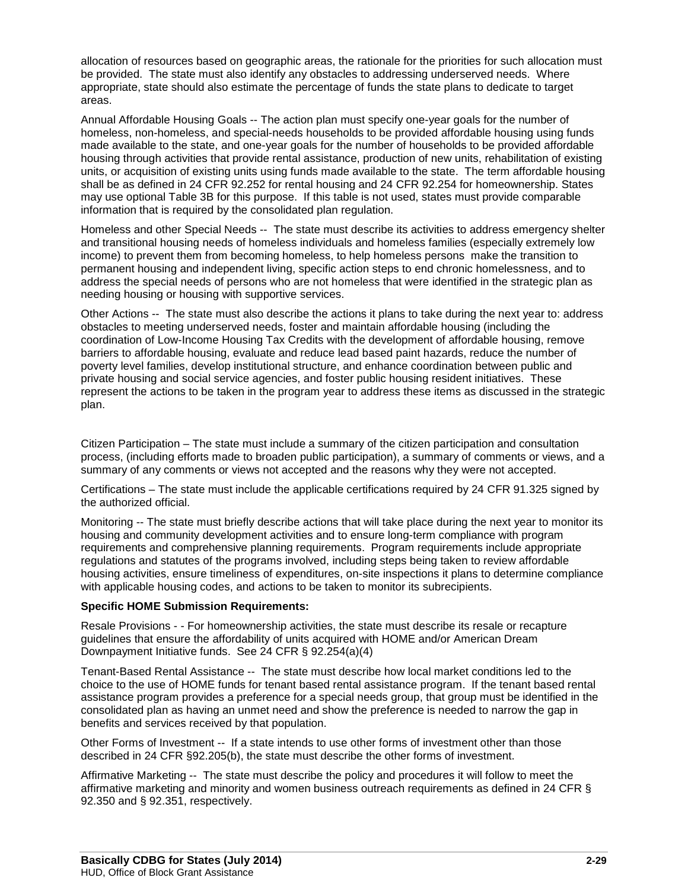allocation of resources based on geographic areas, the rationale for the priorities for such allocation must be provided. The state must also identify any obstacles to addressing underserved needs. Where appropriate, state should also estimate the percentage of funds the state plans to dedicate to target areas.

Annual Affordable Housing Goals -- The action plan must specify one-year goals for the number of homeless, non-homeless, and special-needs households to be provided affordable housing using funds made available to the state, and one-year goals for the number of households to be provided affordable housing through activities that provide rental assistance, production of new units, rehabilitation of existing units, or acquisition of existing units using funds made available to the state. The term affordable housing shall be as defined in 24 CFR 92.252 for rental housing and 24 CFR 92.254 for homeownership. States may use optional Table 3B for this purpose. If this table is not used, states must provide comparable information that is required by the consolidated plan regulation.

Homeless and other Special Needs -- The state must describe its activities to address emergency shelter and transitional housing needs of homeless individuals and homeless families (especially extremely low income) to prevent them from becoming homeless, to help homeless persons make the transition to permanent housing and independent living, specific action steps to end chronic homelessness, and to address the special needs of persons who are not homeless that were identified in the strategic plan as needing housing or housing with supportive services.

Other Actions -- The state must also describe the actions it plans to take during the next year to: address obstacles to meeting underserved needs, foster and maintain affordable housing (including the coordination of Low-Income Housing Tax Credits with the development of affordable housing, remove barriers to affordable housing, evaluate and reduce lead based paint hazards, reduce the number of poverty level families, develop institutional structure, and enhance coordination between public and private housing and social service agencies, and foster public housing resident initiatives. These represent the actions to be taken in the program year to address these items as discussed in the strategic plan.

Citizen Participation – The state must include a summary of the citizen participation and consultation process, (including efforts made to broaden public participation), a summary of comments or views, and a summary of any comments or views not accepted and the reasons why they were not accepted.

Certifications – The state must include the applicable certifications required by 24 CFR 91.325 signed by the authorized official.

Monitoring -- The state must briefly describe actions that will take place during the next year to monitor its housing and community development activities and to ensure long-term compliance with program requirements and comprehensive planning requirements. Program requirements include appropriate regulations and statutes of the programs involved, including steps being taken to review affordable housing activities, ensure timeliness of expenditures, on-site inspections it plans to determine compliance with applicable housing codes, and actions to be taken to monitor its subrecipients.

#### **Specific HOME Submission Requirements:**

Resale Provisions - - For homeownership activities, the state must describe its resale or recapture guidelines that ensure the affordability of units acquired with HOME and/or American Dream Downpayment Initiative funds. See 24 CFR § 92.254(a)(4)

Tenant-Based Rental Assistance -- The state must describe how local market conditions led to the choice to the use of HOME funds for tenant based rental assistance program. If the tenant based rental assistance program provides a preference for a special needs group, that group must be identified in the consolidated plan as having an unmet need and show the preference is needed to narrow the gap in benefits and services received by that population.

Other Forms of Investment -- If a state intends to use other forms of investment other than those described in 24 CFR §92.205(b), the state must describe the other forms of investment.

Affirmative Marketing -- The state must describe the policy and procedures it will follow to meet the affirmative marketing and minority and women business outreach requirements as defined in 24 CFR § 92.350 and § 92.351, respectively.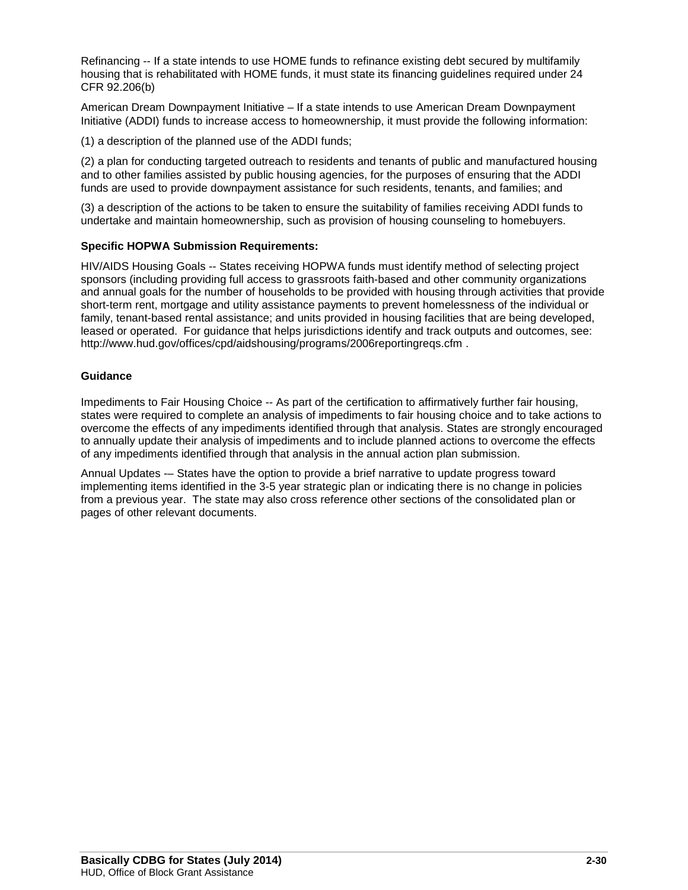Refinancing -- If a state intends to use HOME funds to refinance existing debt secured by multifamily housing that is rehabilitated with HOME funds, it must state its financing guidelines required under 24 CFR 92.206(b)

American Dream Downpayment Initiative – If a state intends to use American Dream Downpayment Initiative (ADDI) funds to increase access to homeownership, it must provide the following information:

(1) a description of the planned use of the ADDI funds;

(2) a plan for conducting targeted outreach to residents and tenants of public and manufactured housing and to other families assisted by public housing agencies, for the purposes of ensuring that the ADDI funds are used to provide downpayment assistance for such residents, tenants, and families; and

(3) a description of the actions to be taken to ensure the suitability of families receiving ADDI funds to undertake and maintain homeownership, such as provision of housing counseling to homebuyers.

#### **Specific HOPWA Submission Requirements:**

HIV/AIDS Housing Goals -- States receiving HOPWA funds must identify method of selecting project sponsors (including providing full access to grassroots faith-based and other community organizations and annual goals for the number of households to be provided with housing through activities that provide short-term rent, mortgage and utility assistance payments to prevent homelessness of the individual or family, tenant-based rental assistance; and units provided in housing facilities that are being developed, leased or operated. For guidance that helps jurisdictions identify and track outputs and outcomes, see: <http://www.hud.gov/offices/cpd/aidshousing/programs/2006reportingreqs.cfm>.

#### **Guidance**

Impediments to Fair Housing Choice -- As part of the certification to affirmatively further fair housing, states were required to complete an analysis of impediments to fair housing choice and to take actions to overcome the effects of any impediments identified through that analysis. States are strongly encouraged to annually update their analysis of impediments and to include planned actions to overcome the effects of any impediments identified through that analysis in the annual action plan submission.

Annual Updates -– States have the option to provide a brief narrative to update progress toward implementing items identified in the 3-5 year strategic plan or indicating there is no change in policies from a previous year. The state may also cross reference other sections of the consolidated plan or pages of other relevant documents.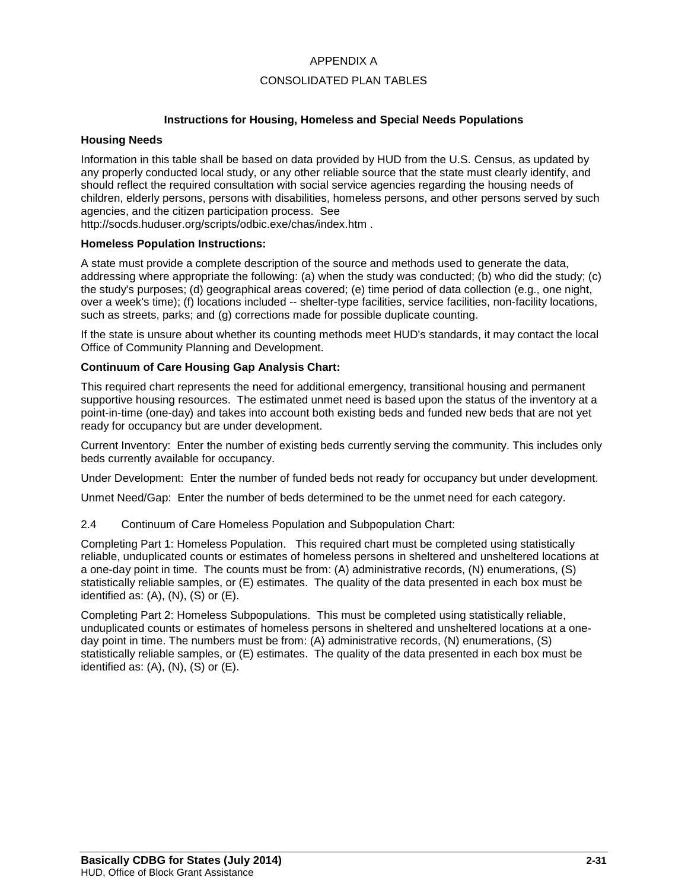### APPENDIX A

### CONSOLIDATED PLAN TABLES

#### **Instructions for Housing, Homeless and Special Needs Populations**

#### **Housing Needs**

Information in this table shall be based on data provided by HUD from the U.S. Census, as updated by any properly conducted local study, or any other reliable source that the state must clearly identify, and should reflect the required consultation with social service agencies regarding the housing needs of children, elderly persons, persons with disabilities, homeless persons, and other persons served by such agencies, and the citizen participation process. See

http://socds.huduser.org/scripts/odbic.exe/chas/index.htm .

#### **Homeless Population Instructions:**

A state must provide a complete description of the source and methods used to generate the data, addressing where appropriate the following: (a) when the study was conducted; (b) who did the study; (c) the study's purposes; (d) geographical areas covered; (e) time period of data collection (e.g., one night, over a week's time); (f) locations included -- shelter-type facilities, service facilities, non-facility locations, such as streets, parks; and (g) corrections made for possible duplicate counting.

If the state is unsure about whether its counting methods meet HUD's standards, it may contact the local Office of Community Planning and Development.

#### **Continuum of Care Housing Gap Analysis Chart:**

This required chart represents the need for additional emergency, transitional housing and permanent supportive housing resources. The estimated unmet need is based upon the status of the inventory at a point-in-time (one-day) and takes into account both existing beds and funded new beds that are not yet ready for occupancy but are under development.

Current Inventory: Enter the number of existing beds currently serving the community. This includes only beds currently available for occupancy.

Under Development: Enter the number of funded beds not ready for occupancy but under development.

Unmet Need/Gap: Enter the number of beds determined to be the unmet need for each category.

2.4 Continuum of Care Homeless Population and Subpopulation Chart:

Completing Part 1: Homeless Population. This required chart must be completed using statistically reliable, unduplicated counts or estimates of homeless persons in sheltered and unsheltered locations at a one-day point in time. The counts must be from: (A) administrative records, (N) enumerations, (S) statistically reliable samples, or (E) estimates. The quality of the data presented in each box must be identified as:  $(A)$ ,  $(N)$ ,  $(S)$  or  $(E)$ .

Completing Part 2: Homeless Subpopulations. This must be completed using statistically reliable, unduplicated counts or estimates of homeless persons in sheltered and unsheltered locations at a oneday point in time. The numbers must be from: (A) administrative records, (N) enumerations, (S) statistically reliable samples, or (E) estimates. The quality of the data presented in each box must be identified as:  $(A)$ ,  $(N)$ ,  $(S)$  or  $(E)$ .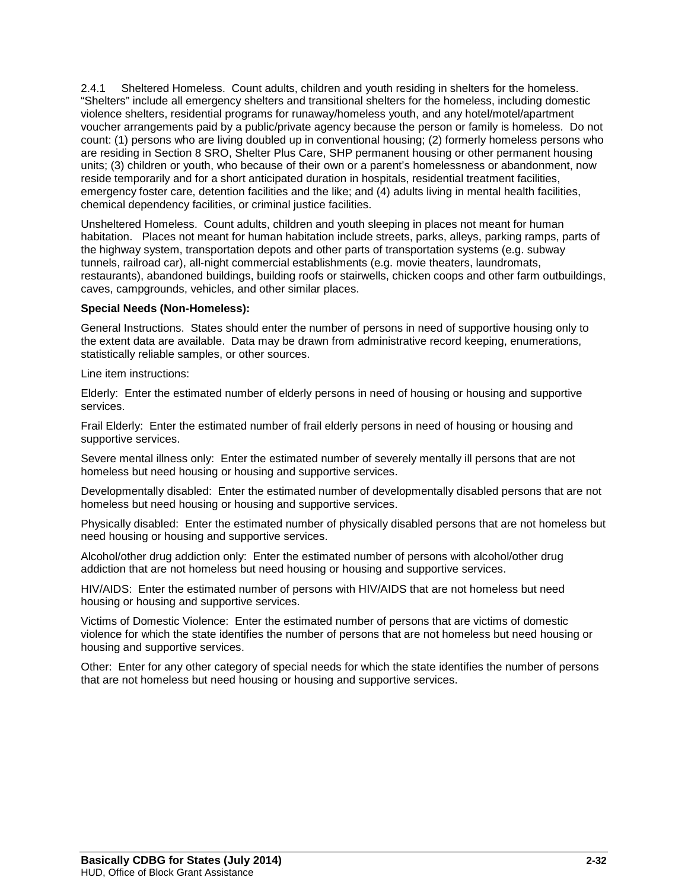2.4.1 Sheltered Homeless. Count adults, children and youth residing in shelters for the homeless. "Shelters" include all emergency shelters and transitional shelters for the homeless, including domestic violence shelters, residential programs for runaway/homeless youth, and any hotel/motel/apartment voucher arrangements paid by a public/private agency because the person or family is homeless. Do not count: (1) persons who are living doubled up in conventional housing; (2) formerly homeless persons who are residing in Section 8 SRO, Shelter Plus Care, SHP permanent housing or other permanent housing units; (3) children or youth, who because of their own or a parent's homelessness or abandonment, now reside temporarily and for a short anticipated duration in hospitals, residential treatment facilities, emergency foster care, detention facilities and the like; and (4) adults living in mental health facilities, chemical dependency facilities, or criminal justice facilities.

Unsheltered Homeless. Count adults, children and youth sleeping in places not meant for human habitation. Places not meant for human habitation include streets, parks, alleys, parking ramps, parts of the highway system, transportation depots and other parts of transportation systems (e.g. subway tunnels, railroad car), all-night commercial establishments (e.g. movie theaters, laundromats, restaurants), abandoned buildings, building roofs or stairwells, chicken coops and other farm outbuildings, caves, campgrounds, vehicles, and other similar places.

#### **Special Needs (Non-Homeless):**

General Instructions. States should enter the number of persons in need of supportive housing only to the extent data are available. Data may be drawn from administrative record keeping, enumerations, statistically reliable samples, or other sources.

Line item instructions:

Elderly: Enter the estimated number of elderly persons in need of housing or housing and supportive services.

Frail Elderly: Enter the estimated number of frail elderly persons in need of housing or housing and supportive services.

Severe mental illness only: Enter the estimated number of severely mentally ill persons that are not homeless but need housing or housing and supportive services.

Developmentally disabled: Enter the estimated number of developmentally disabled persons that are not homeless but need housing or housing and supportive services.

Physically disabled: Enter the estimated number of physically disabled persons that are not homeless but need housing or housing and supportive services.

Alcohol/other drug addiction only: Enter the estimated number of persons with alcohol/other drug addiction that are not homeless but need housing or housing and supportive services.

HIV/AIDS: Enter the estimated number of persons with HIV/AIDS that are not homeless but need housing or housing and supportive services.

Victims of Domestic Violence: Enter the estimated number of persons that are victims of domestic violence for which the state identifies the number of persons that are not homeless but need housing or housing and supportive services.

Other: Enter for any other category of special needs for which the state identifies the number of persons that are not homeless but need housing or housing and supportive services.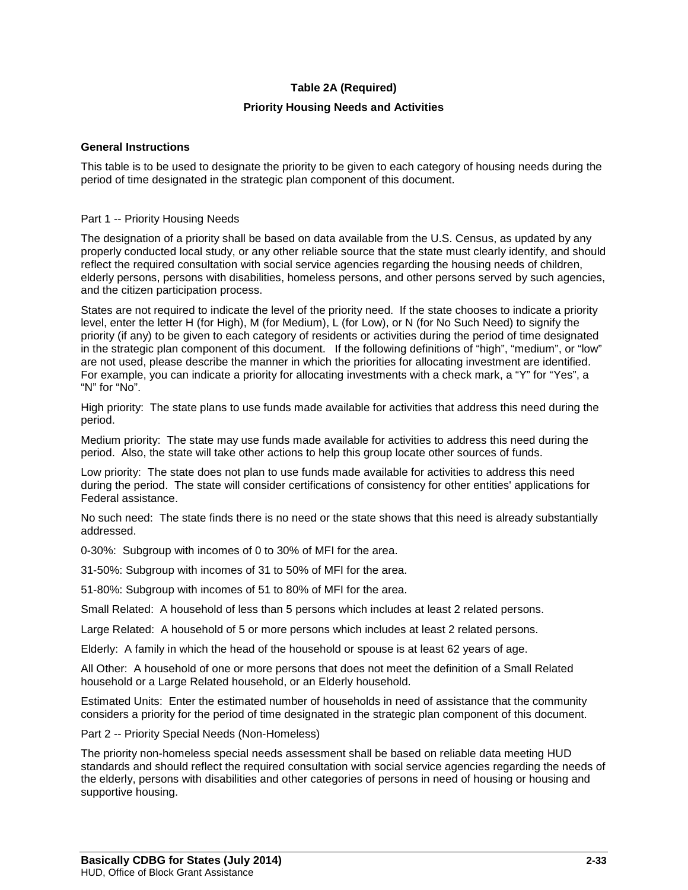### **Table 2A (Required)**

### **Priority Housing Needs and Activities**

#### **General Instructions**

This table is to be used to designate the priority to be given to each category of housing needs during the period of time designated in the strategic plan component of this document.

#### Part 1 -- Priority Housing Needs

The designation of a priority shall be based on data available from the U.S. Census, as updated by any properly conducted local study, or any other reliable source that the state must clearly identify, and should reflect the required consultation with social service agencies regarding the housing needs of children, elderly persons, persons with disabilities, homeless persons, and other persons served by such agencies, and the citizen participation process.

States are not required to indicate the level of the priority need. If the state chooses to indicate a priority level, enter the letter H (for High), M (for Medium), L (for Low), or N (for No Such Need) to signify the priority (if any) to be given to each category of residents or activities during the period of time designated in the strategic plan component of this document. If the following definitions of "high", "medium", or "low" are not used, please describe the manner in which the priorities for allocating investment are identified. For example, you can indicate a priority for allocating investments with a check mark, a "Y" for "Yes", a "N" for "No".

High priority: The state plans to use funds made available for activities that address this need during the period.

Medium priority: The state may use funds made available for activities to address this need during the period. Also, the state will take other actions to help this group locate other sources of funds.

Low priority: The state does not plan to use funds made available for activities to address this need during the period. The state will consider certifications of consistency for other entities' applications for Federal assistance.

No such need: The state finds there is no need or the state shows that this need is already substantially addressed.

0-30%: Subgroup with incomes of 0 to 30% of MFI for the area.

31-50%: Subgroup with incomes of 31 to 50% of MFI for the area.

51-80%: Subgroup with incomes of 51 to 80% of MFI for the area.

Small Related: A household of less than 5 persons which includes at least 2 related persons.

Large Related: A household of 5 or more persons which includes at least 2 related persons.

Elderly: A family in which the head of the household or spouse is at least 62 years of age.

All Other: A household of one or more persons that does not meet the definition of a Small Related household or a Large Related household, or an Elderly household.

Estimated Units: Enter the estimated number of households in need of assistance that the community considers a priority for the period of time designated in the strategic plan component of this document.

Part 2 -- Priority Special Needs (Non-Homeless)

The priority non-homeless special needs assessment shall be based on reliable data meeting HUD standards and should reflect the required consultation with social service agencies regarding the needs of the elderly, persons with disabilities and other categories of persons in need of housing or housing and supportive housing.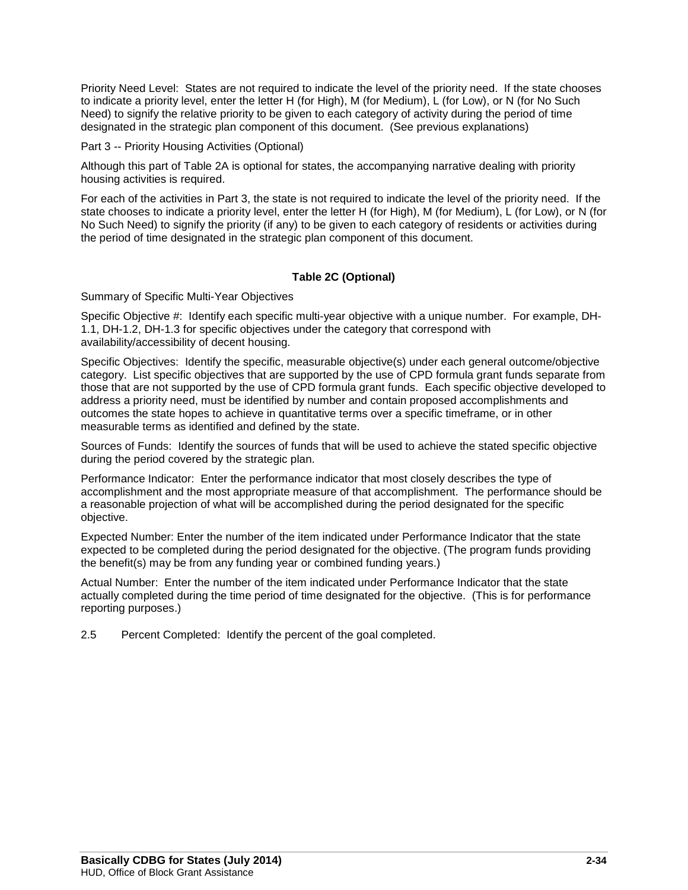Priority Need Level: States are not required to indicate the level of the priority need. If the state chooses to indicate a priority level, enter the letter H (for High), M (for Medium), L (for Low), or N (for No Such Need) to signify the relative priority to be given to each category of activity during the period of time designated in the strategic plan component of this document. (See previous explanations)

Part 3 -- Priority Housing Activities (Optional)

Although this part of Table 2A is optional for states, the accompanying narrative dealing with priority housing activities is required.

For each of the activities in Part 3, the state is not required to indicate the level of the priority need. If the state chooses to indicate a priority level, enter the letter H (for High), M (for Medium), L (for Low), or N (for No Such Need) to signify the priority (if any) to be given to each category of residents or activities during the period of time designated in the strategic plan component of this document.

### **Table 2C (Optional)**

Summary of Specific Multi-Year Objectives

Specific Objective #: Identify each specific multi-year objective with a unique number. For example, DH-1.1, DH-1.2, DH-1.3 for specific objectives under the category that correspond with availability/accessibility of decent housing.

Specific Objectives: Identify the specific, measurable objective(s) under each general outcome/objective category. List specific objectives that are supported by the use of CPD formula grant funds separate from those that are not supported by the use of CPD formula grant funds. Each specific objective developed to address a priority need, must be identified by number and contain proposed accomplishments and outcomes the state hopes to achieve in quantitative terms over a specific timeframe, or in other measurable terms as identified and defined by the state.

Sources of Funds: Identify the sources of funds that will be used to achieve the stated specific objective during the period covered by the strategic plan.

Performance Indicator: Enter the performance indicator that most closely describes the type of accomplishment and the most appropriate measure of that accomplishment. The performance should be a reasonable projection of what will be accomplished during the period designated for the specific objective.

Expected Number: Enter the number of the item indicated under Performance Indicator that the state expected to be completed during the period designated for the objective. (The program funds providing the benefit(s) may be from any funding year or combined funding years.)

Actual Number: Enter the number of the item indicated under Performance Indicator that the state actually completed during the time period of time designated for the objective. (This is for performance reporting purposes.)

2.5 Percent Completed: Identify the percent of the goal completed.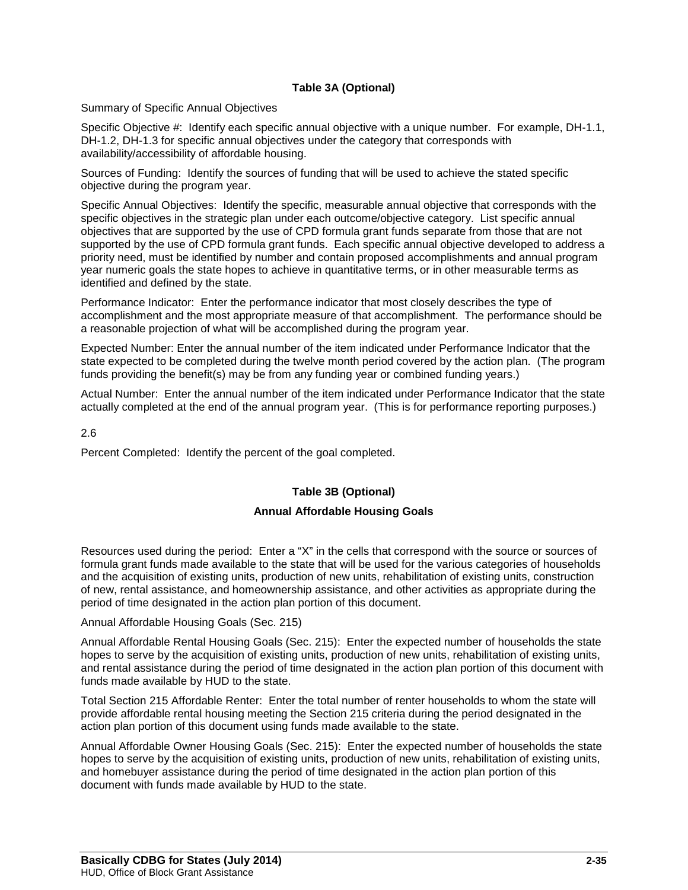### **Table 3A (Optional)**

Summary of Specific Annual Objectives

Specific Objective #: Identify each specific annual objective with a unique number. For example, DH-1.1, DH-1.2, DH-1.3 for specific annual objectives under the category that corresponds with availability/accessibility of affordable housing.

Sources of Funding: Identify the sources of funding that will be used to achieve the stated specific objective during the program year.

Specific Annual Objectives: Identify the specific, measurable annual objective that corresponds with the specific objectives in the strategic plan under each outcome/objective category. List specific annual objectives that are supported by the use of CPD formula grant funds separate from those that are not supported by the use of CPD formula grant funds. Each specific annual objective developed to address a priority need, must be identified by number and contain proposed accomplishments and annual program year numeric goals the state hopes to achieve in quantitative terms, or in other measurable terms as identified and defined by the state.

Performance Indicator: Enter the performance indicator that most closely describes the type of accomplishment and the most appropriate measure of that accomplishment. The performance should be a reasonable projection of what will be accomplished during the program year.

Expected Number: Enter the annual number of the item indicated under Performance Indicator that the state expected to be completed during the twelve month period covered by the action plan. (The program funds providing the benefit(s) may be from any funding year or combined funding years.)

Actual Number: Enter the annual number of the item indicated under Performance Indicator that the state actually completed at the end of the annual program year. (This is for performance reporting purposes.)

2.6

Percent Completed: Identify the percent of the goal completed.

### **Table 3B (Optional)**

### **Annual Affordable Housing Goals**

Resources used during the period: Enter a "X" in the cells that correspond with the source or sources of formula grant funds made available to the state that will be used for the various categories of households and the acquisition of existing units, production of new units, rehabilitation of existing units, construction of new, rental assistance, and homeownership assistance, and other activities as appropriate during the period of time designated in the action plan portion of this document.

#### Annual Affordable Housing Goals (Sec. 215)

Annual Affordable Rental Housing Goals (Sec. 215): Enter the expected number of households the state hopes to serve by the acquisition of existing units, production of new units, rehabilitation of existing units, and rental assistance during the period of time designated in the action plan portion of this document with funds made available by HUD to the state.

Total Section 215 Affordable Renter: Enter the total number of renter households to whom the state will provide affordable rental housing meeting the Section 215 criteria during the period designated in the action plan portion of this document using funds made available to the state.

Annual Affordable Owner Housing Goals (Sec. 215): Enter the expected number of households the state hopes to serve by the acquisition of existing units, production of new units, rehabilitation of existing units, and homebuyer assistance during the period of time designated in the action plan portion of this document with funds made available by HUD to the state.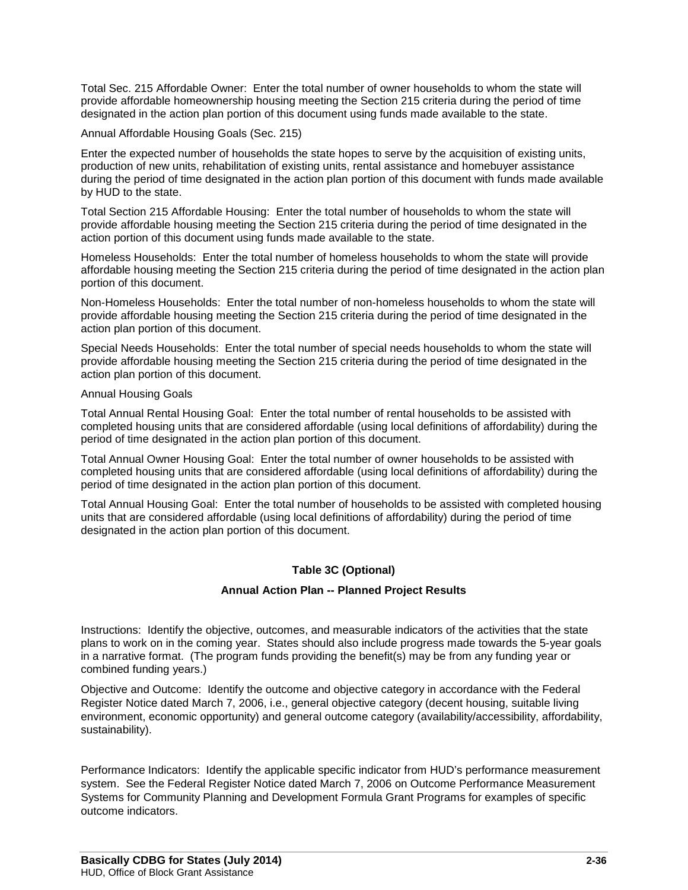Total Sec. 215 Affordable Owner: Enter the total number of owner households to whom the state will provide affordable homeownership housing meeting the Section 215 criteria during the period of time designated in the action plan portion of this document using funds made available to the state.

Annual Affordable Housing Goals (Sec. 215)

Enter the expected number of households the state hopes to serve by the acquisition of existing units, production of new units, rehabilitation of existing units, rental assistance and homebuyer assistance during the period of time designated in the action plan portion of this document with funds made available by HUD to the state.

Total Section 215 Affordable Housing: Enter the total number of households to whom the state will provide affordable housing meeting the Section 215 criteria during the period of time designated in the action portion of this document using funds made available to the state.

Homeless Households: Enter the total number of homeless households to whom the state will provide affordable housing meeting the Section 215 criteria during the period of time designated in the action plan portion of this document.

Non-Homeless Households: Enter the total number of non-homeless households to whom the state will provide affordable housing meeting the Section 215 criteria during the period of time designated in the action plan portion of this document.

Special Needs Households: Enter the total number of special needs households to whom the state will provide affordable housing meeting the Section 215 criteria during the period of time designated in the action plan portion of this document.

Annual Housing Goals

Total Annual Rental Housing Goal: Enter the total number of rental households to be assisted with completed housing units that are considered affordable (using local definitions of affordability) during the period of time designated in the action plan portion of this document.

Total Annual Owner Housing Goal: Enter the total number of owner households to be assisted with completed housing units that are considered affordable (using local definitions of affordability) during the period of time designated in the action plan portion of this document.

Total Annual Housing Goal: Enter the total number of households to be assisted with completed housing units that are considered affordable (using local definitions of affordability) during the period of time designated in the action plan portion of this document.

### **Table 3C (Optional)**

### **Annual Action Plan -- Planned Project Results**

Instructions: Identify the objective, outcomes, and measurable indicators of the activities that the state plans to work on in the coming year. States should also include progress made towards the 5-year goals in a narrative format. (The program funds providing the benefit(s) may be from any funding year or combined funding years.)

Objective and Outcome: Identify the outcome and objective category in accordance with the Federal Register Notice dated March 7, 2006, i.e., general objective category (decent housing, suitable living environment, economic opportunity) and general outcome category (availability/accessibility, affordability, sustainability).

Performance Indicators: Identify the applicable specific indicator from HUD's performance measurement system. See the Federal Register Notice dated March 7, 2006 on Outcome Performance Measurement Systems for Community Planning and Development Formula Grant Programs for examples of specific outcome indicators.